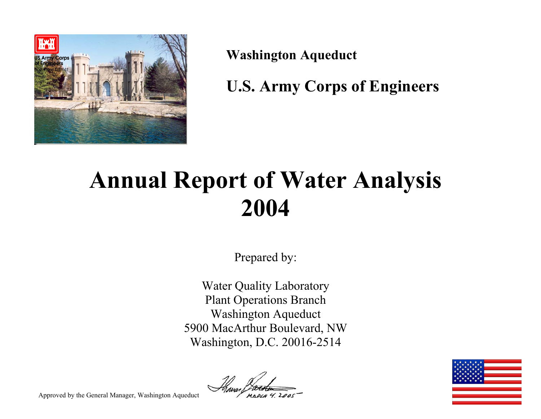

**Washington Aqueduct** 

**U.S. Army Corps of Engineers** 

# **Annual Report of Water Analysis 2004**

Prepared by:

Water Quality Laboratory Plant Operations Branch Washington Aqueduct 5900 MacArthur Boulevard, NW Washington, D.C. 20016-2514





Approved by the General Manager, Washington Aqueduct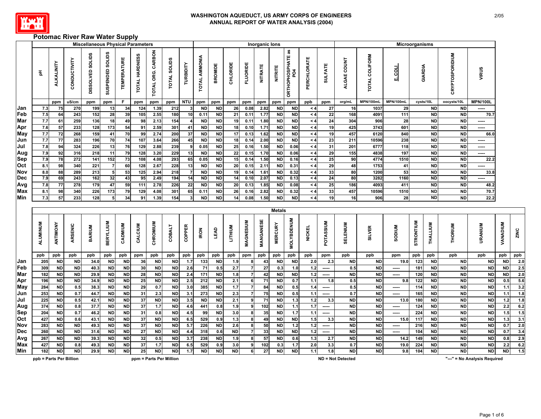

# **Potomac River Raw Water Supply**

|            |                         |            |              | <b>Miscellaneous Physical Parameters</b>                                                                                  |                  |                    |                       |                         |                     |               |                        |                        |           |              | Inorganic lons  |                 |                                 |                      |                          |                          |                | Microorganisms |           |                        |                        |                              |                        |      |
|------------|-------------------------|------------|--------------|---------------------------------------------------------------------------------------------------------------------------|------------------|--------------------|-----------------------|-------------------------|---------------------|---------------|------------------------|------------------------|-----------|--------------|-----------------|-----------------|---------------------------------|----------------------|--------------------------|--------------------------|----------------|----------------|-----------|------------------------|------------------------|------------------------------|------------------------|------|
|            | 玉                       | ALKALINITY | CONDUCTIVITY | SUSPENDED SOLIDS<br><b>SOLIDS</b><br><b>DISSOLVED</b><br>ppm<br>ppm<br>270<br>199<br>152<br>28<br>243<br>259<br>136<br>18 |                  | <b>TEMPERATURE</b> | <b>TOTAL HARDNESS</b> | TOTAL ORG. CARBON       | <b>TOTAL SOLIDS</b> | TURBIDITY     | <b>TOTAL AMMONIA</b>   | <b>BROMIDE</b>         | CHLORIDE  | FLUORIDE     | <b>NITRATE</b>  | <b>NITRITE</b>  | <b>ORTHOPHOSPHATE as</b><br>PO4 | PERCHLORATE          | <b>SULFATE</b>           | ALGAE COUNT              | TOTAL COLIFORM | From           | GIARDIA   |                        | <b>CRYPTOSPORIDIUM</b> | VIRUS                        |                        |      |
|            |                         | ppm        | uS/cm        |                                                                                                                           |                  | F.                 | ppm                   | ppm                     | ppm                 | <b>NTU</b>    | ppm                    | ppm                    | ppm       | ppm          | ppm             | ppm             | ppm                             | ppb                  | ppm                      | org/mL                   | MPN/100mL      | MPN/100mL      |           | cysts/10L              | oocysts/10L            | <b>MPN/100L</b>              |                        |      |
| Jan        | 7.3                     | 75         |              |                                                                                                                           | 13               | 34                 | 124                   | 1.39                    | 212                 | -3            | <b>ND</b>              | <b>ND</b>              | 26        | 0.08         | 2.82            | <b>ND</b>       | <b>ND</b>                       | $\leq 4$             | 27                       | 16                       | 1037           | 29             |           | <b>ND</b>              | <b>ND</b>              | -----                        |                        |      |
| Feb        | 7.5                     | 64         |              |                                                                                                                           |                  | 39                 | 105                   | 2.55                    | 180                 | 10            | 0.11                   | <b>ND</b>              | 21        | 0.11         | 1.77            | <b>ND</b>       | <b>ND</b>                       | $\leq 4$             | 22                       | 168                      | 4091           | 111            |           | <b>ND</b>              | <b>ND</b>              | 70.7                         |                        |      |
| Mar        | 7.7                     | 61         |              |                                                                                                                           |                  | 49                 | 98                    | 2.13                    | 154                 |               | <b>ND</b>              | <b>ND</b>              | 19        | 0.11         | 1.80            | <b>ND</b>       | <b>ND</b>                       | $\leq 4$             | 24                       | 304                      | 906            | 28             |           | <b>ND</b>              | <b>ND</b>              | -----                        |                        |      |
| Apr        | 7.6                     | 57         | 233          | 128                                                                                                                       | 173              | 54                 | 91                    | 2.59                    | 301                 | 41            | <b>ND</b>              | <b>ND</b>              | 18        | 0.10         | 1.71            | <b>ND</b>       | <b>ND</b>                       | $\leq 4$             | 19                       | 425                      | 3743           | 601            |           | <b>ND</b>              | <b>ND</b>              | -----                        |                        |      |
| May        | 7.7                     | 72         | 268          | 159                                                                                                                       | 41               | 70                 | 99                    | 2.74                    | 200                 | 37            | <b>ND</b>              | <b>ND</b>              | 17        | 0.13         | 1.62            | <b>ND</b>       | <b>ND</b>                       | $\leq 4$             | 19                       | 457                      | 6120           | 840            |           | <b>ND</b>              | <b>ND</b>              | 66.0                         |                        |      |
| Jun        | 7.7                     | 77         | 283          | 196                                                                                                                       | 70               | 74                 | 107                   | 3.64                    | 266                 | 45            | <b>ND</b>              | <b>ND</b>              | 18        | 0.14         | 2.00            | <b>ND</b>       | <b>ND</b>                       | $\leq 4$             | 23                       | 211                      | 10596          | 238            |           | <b>ND</b>              | <b>ND</b>              | -----                        |                        |      |
| Jul        | 7.8                     | 94         | 324          | 226                                                                                                                       | 13               | 76                 | 129                   | 2.88                    | 239                 | -9            | 0.05                   | <b>ND</b>              | 25        | 0.16         | 1.50            | <b>ND</b>       | 0.06                            | $\leq 4$             | 31                       | 201                      | 6777           | 118            |           | <b>ND</b>              | <b>ND</b>              | -----                        |                        |      |
| Aug        | 7.9                     | 92         | 316          | 218                                                                                                                       | 11               | 79                 | 128                   | 3.20                    | 229                 | 13            | <b>ND</b>              | <b>ND</b>              | 22        | 0.15         | 1.70            | <b>ND</b>       | 0.06                            | $\leq 4$             | 29                       | 155                      | 4838           | 197            |           | <b>ND</b>              | <b>ND</b><br><b>ND</b> | -----                        |                        |      |
| Sep<br>Oct | 7.9<br>8.1              | 78<br>98   | 272          | 141<br>221                                                                                                                | $\overline{152}$ | 73<br>60           | 108                   | 4.08                    | 293                 | 65            | 0.05                   | <b>ND</b>              | 15<br>20  | 0.14         | 1.50            | <b>ND</b>       | 0.16                            | $\leq 4$             | 25                       | 90                       | 4774<br>1753   | 1510           |           | <b>ND</b>              | <b>ND</b>              | 22.2                         |                        |      |
| Nov        | 8.0                     | 88         | 340<br>289   |                                                                                                                           | 5                | 53                 | 128<br>125            | 2.67<br>2.94            | 228<br>218          | 13            | <b>ND</b><br><b>ND</b> | <b>ND</b><br><b>ND</b> | 19        | 0.15<br>0.14 | 2.11<br>1.61    | ND<br><b>ND</b> | 0.31                            | $\leq 4$<br>$\leq 4$ | 29<br>33                 | 48<br>80                 | 1200           | 41<br>53       |           | <b>ND</b><br><b>ND</b> | <b>ND</b>              | -----<br>33.8                |                        |      |
| Dec        | 7.9                     | 69         | 243          | 213<br>162                                                                                                                | 32               | 43                 | 95                    | 2.49                    | 194                 | 14            | <b>ND</b>              | <b>ND</b>              | 14        | 0.10         | 2.07            | <b>ND</b>       | 0.32<br>0.13                    | $\leq 4$             | 24                       | 80                       | 3282           | 1160           |           | <b>ND</b>              | <b>ND</b>              | -----                        |                        |      |
| Avg        | 7.8                     | 77         | 278          | 179                                                                                                                       | 47               | 59                 | 111                   | 2.78                    | 226                 | 22            | <b>ND</b>              | <b>ND</b>              | 20        | 0.13         | 1.85            | <b>ND</b>       | 0.08                            | $\leq 4$             | 25                       | 186                      | 4093           | 411            |           | <b>ND</b>              | <b>ND</b>              | 48.2                         |                        |      |
| Max        | 8.1                     | 98         | 340          | 226                                                                                                                       | 173              | 79                 | 129                   | 4.08                    | 301                 | 65            | 0.1'                   | <b>ND</b>              | 26        | 0.16         | 2.82            | <b>ND</b>       | 0.32                            | $\leq 4$             | 33                       | 457                      | 10596          | 1510           |           | <b>ND</b>              | <b>ND</b>              | 70.7                         |                        |      |
| Min        | 7.3                     | 57         | 233          | 128                                                                                                                       | 5                | 34                 | 91                    | 1.39                    | 154                 |               | <b>ND</b>              | <b>ND</b>              | 14        | 0.08         | 1.50            | <b>ND</b>       | <b>ND</b>                       | $\leq 4$             | 19                       | 16                       | 906            | 28             |           | <b>ND</b>              | <b>ND</b>              | 22.2                         |                        |      |
|            |                         |            |              |                                                                                                                           |                  |                    |                       |                         |                     |               |                        |                        |           |              |                 | <b>Metals</b>   |                                 |                      |                          |                          |                |                |           |                        |                        |                              |                        |      |
|            | ALUMINUM                | ANTIMONY   | ARSENIC      | <b>BARIUM</b>                                                                                                             | <b>BERYLLIUM</b> | CADMIUM            | CALCIUM               | CHROMIUM                | <b>COBALT</b>       | <b>COPPER</b> | <b>IRON</b>            | LEAD                   | LITHIUM   | MAGNESIUM    | MANGANESE       | <b>MERCURY</b>  | <b>MOLYBDENUM</b>               | <b>NICKEL</b>        | <b>POTASSIUM</b>         | <b>ENIUM</b><br>品        | <b>SILVER</b>  | <b>NUIGOS</b>  | STRONTIUM | THALLIUM               | THORIUM                | URANIUM                      | <b><i>VANADIUM</i></b> | ZINC |
|            | ppb                     | ppb        | ppb          | ppb                                                                                                                       | ppb              | ppb                | ppm                   | ppb                     | ppb                 | ppb           | ppb                    | ppb                    | ppb       | ppm          | ppb             | ppb             | ppb                             | ppb                  | ppm                      | ppb                      | ppb            | ppm            | ppb       | ppb                    | ppb                    | ppb                          | ppb                    | ppb  |
| Jan        | 205                     | <b>ND</b>  | <b>ND</b>    | 34.0                                                                                                                      | <b>ND</b>        | <b>ND</b>          | 36                    | <b>ND</b>               | <b>ND</b>           | 1.7           | 133                    | <b>ND</b>              | 1.9       |              | 43              | <b>ND</b>       | <b>ND</b>                       | 2.0                  | 2.3                      | <b>ND</b>                | <b>ND</b>      | 19.0           | 123       | <b>ND</b>              | <b>ND</b>              | <b>ND</b>                    | <b>ND</b>              | 2.0  |
| Feb        | 309                     | <b>ND</b>  | ND           | 40.3                                                                                                                      | ND               | ND                 | 30                    | <b>ND</b>               | <b>ND</b>           | 2.6           | 71                     | 0.5                    | 2.7       |              | 27              | 0.3             | 1.0                             | 1.2                  | -----                    | 0.5                      | <b>ND</b>      | -----          | 181       | <b>ND</b>              | <b>ND</b>              | <b>ND</b>                    | <b>ND</b>              | 2.5  |
| Mar        | 182                     | <b>ND</b>  | ND           | 29.9                                                                                                                      | <b>ND</b>        | <b>ND</b>          | 28                    | <b>ND</b>               | <b>ND</b>           | 2.4           | 171                    | <b>ND</b>              | 1.8       |              | 42              | ND              | <b>ND</b>                       | 1.2                  | -----                    | <b>ND</b>                | <b>ND</b>      | $\cdots$       | 120       | <b>ND</b>              | <b>ND</b>              | <b>ND</b>                    | <b>ND</b>              | 2.0  |
| Apr        | 196                     | ND         | <b>ND</b>    | 34.9                                                                                                                      | ND               | <b>ND</b>          | 25                    | <b>ND</b>               | <b>ND</b>           | 2.5           | 212                    | <b>ND</b>              | 2.1       |              | 71              | <b>ND</b>       | 0.7                             | 1.1                  | 1.8                      | 0.5                      | <b>ND</b>      | 9.8            | 122       | <b>ND</b>              | <b>ND</b>              | <b>ND</b>                    | 0.5                    | 5.6  |
| May        | 284                     | <b>ND</b>  | 0.5          | 38.3                                                                                                                      | <b>ND</b>        | <b>ND</b>          | 29                    | 0.7                     | <b>ND</b>           | 3.0           | 385                    | <b>ND</b>              | 1.7       |              | 84              | <b>ND</b>       | 0.5                             | 1.4                  | $\cdots$                 | 0.5                      | <b>ND</b>      | $\cdots$       | 114       | <b>ND</b>              | <b>ND</b>              | <b>ND</b>                    | $\overline{1.1}$       | 3.2  |
| Jun        | 253                     | <b>ND</b>  | 0.7          | 44.7                                                                                                                      | <b>ND</b>        | <b>ND</b>          | 31                    | 2.3                     | <b>ND</b>           | 3.1           | 273                    | <b>ND</b>              | 2.3       | 7            | 75              | <b>ND</b>       | 0.5                             | 1.1                  | $\cdots$                 | 0.7                      | <b>ND</b>      | -----          | 165       | <b>ND</b>              | <b>ND</b>              | <b>ND</b>                    | $1.1$                  | 1.8  |
| Jul        | 225                     | <b>ND</b>  | 0.5          | 42.1                                                                                                                      | <b>ND</b>        | <b>ND</b>          | 37                    | <b>ND</b>               | <b>ND</b>           | 3.5           | <b>ND</b>              | <b>ND</b>              | 2.1       | 9            | 71              | <b>ND</b>       | $1.3$                           | $1.2$                | 3.3                      | <b>ND</b>                | <b>ND</b>      | 13.0           | 180       | <b>ND</b>              | <b>ND</b>              | <b>ND</b>                    | $\overline{1.2}$       | 1.8  |
| Aug        | 374                     | <b>ND</b>  | 0.8          | 37.7                                                                                                                      | <b>ND</b>        | <b>ND</b>          | 37                    | $1.7$                   | ${\sf ND}$          | 4.6           | 441                    | 0.8                    | 1.9       | 9            | 102             | <b>ND</b>       | 1.1                             | 1.7                  | $\cdots$                 | <b>ND</b>                | <b>ND</b>      | -----          | 124       | <b>ND</b>              | <b>ND</b>              | $\sf ND$                     | 2.2                    | 6.2  |
| Sep        | 204                     | <b>ND</b>  | 0.7          | 46.2                                                                                                                      | <b>ND</b>        | <b>ND</b>          | 31                    | 0.8                     | <b>ND</b>           | 4.5           | 99                     | <b>ND</b>              | 3.0       | 8            | 35              | <b>ND</b>       | 1.7                             | 1.1                  | $\overline{\phantom{a}}$ | <b>ND</b>                | <b>ND</b>      | $\cdots$       | 224       | <b>ND</b>              | <b>ND</b>              | <b>ND</b>                    | 1.5                    | 1.5  |
| Oct        | 427                     | <b>ND</b>  | 0.6          | 43.1                                                                                                                      | <b>ND</b>        | <b>ND</b>          | 37                    | <b>ND</b>               | <b>ND</b>           | 6.5           | 529                    | 0.9                    | 1.3       | -8           | 49              | <b>ND</b>       | <b>ND</b>                       | 1.5                  | 3.3                      | <b>ND</b>                | <b>ND</b>      | 15.0           | 117       | <b>ND</b>              | <b>ND</b>              | <b>ND</b>                    | $1.3$                  | 3.1  |
| Nov        | 283                     | <b>ND</b>  | <b>ND</b>    | 49.3                                                                                                                      | <b>ND</b>        | <b>ND</b>          | 37                    | <b>ND</b>               | ND                  | 5.7           | 226                    | <b>ND</b>              | 2.6       |              | 50              | <b>ND</b>       | $1.2$                           | $1.2$                | -----                    | <b>ND</b>                | <b>ND</b>      | -----          | 216       | <b>ND</b>              | <b>ND</b>              | <b>ND</b>                    | 0.7                    | 2.0  |
| Dec        | 260                     | <b>ND</b>  | <b>ND</b>    | 31.6                                                                                                                      | <b>ND</b>        | <b>ND</b>          | 27                    | <b>ND</b>               | <b>ND</b>           | 4.4           | 318                    | 0.6                    | <b>ND</b> |              | 33              | <b>ND</b>       | <b>ND</b>                       | 1.2                  | -----                    | <b>ND</b>                | <b>ND</b>      | -----          | 104       | <b>ND</b>              | <b>ND</b>              | <b>ND</b>                    | 0.7                    | 3.4  |
| Avg        | 267                     | <b>ND</b>  | ND           | 39.3                                                                                                                      | <b>ND</b>        | <b>ND</b>          | 32                    | 0.5                     | ND                  | 3.7           | 238                    | <b>ND</b>              | 1.9       |              | 57              | <b>ND</b>       | 0.6                             | 1.3                  | 2.7                      | <b>ND</b>                | <b>ND</b>      | 14.2           | 149       | <b>ND</b>              | N <sub>D</sub>         | N <sub>D</sub>               | 0.8                    | 2.9  |
| Max        | 427                     | <b>ND</b>  | 0.8          | 49.3                                                                                                                      | <b>ND</b>        | <b>ND</b>          | 37                    | 1.7                     | <b>ND</b>           | 6.5           | 529                    | 0.9                    | 3.0       | 9            | 102             | 0.3             | 1.7                             | $2.0\,$              | 3.3                      | 0.7                      | <b>ND</b>      | 19.0           | 224       | <b>ND</b>              | <b>ND</b>              | <b>ND</b>                    | 2.2                    | 6.2  |
| Min        | 182                     | <b>ND</b>  | <b>ND</b>    | 29.9                                                                                                                      | <b>ND</b>        | <b>ND</b>          | 25                    | ${\sf ND}$              | <b>ND</b>           | 1.7           | <b>ND</b>              | <b>ND</b>              | <b>ND</b> |              | $\overline{27}$ | <b>ND</b>       | <b>ND</b>                       | 1.1                  | 1.8                      | <b>ND</b>                | <b>ND</b>      | 9.8            | 104       | <b>ND</b>              | <b>ND</b>              | <b>ND</b>                    | <b>ND</b>              | 1.5  |
|            | ppb = Parts Per Billion |            |              |                                                                                                                           |                  |                    |                       | ppm = Parts Per Million |                     |               |                        |                        |           |              |                 |                 |                                 |                      |                          | <b>ND = Not Detected</b> |                |                |           |                        |                        | "---" = No Analysis Required |                        |      |

2/05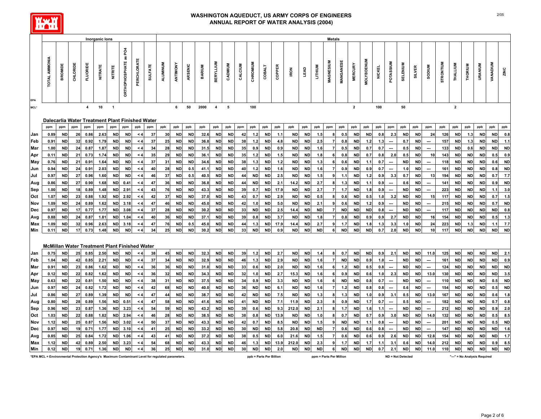

|                         |                                                                                                 |           |          |                 | <b>Inorganic lons</b> |                |                       |            |                |                 |           |           |               |                  |           |         |                         |               |        |             |             |                | <b>Metals</b>           |           |                |                   |               |                          |           |           |                          |           |                |                              |           |                        |            |
|-------------------------|-------------------------------------------------------------------------------------------------|-----------|----------|-----------------|-----------------------|----------------|-----------------------|------------|----------------|-----------------|-----------|-----------|---------------|------------------|-----------|---------|-------------------------|---------------|--------|-------------|-------------|----------------|-------------------------|-----------|----------------|-------------------|---------------|--------------------------|-----------|-----------|--------------------------|-----------|----------------|------------------------------|-----------|------------------------|------------|
|                         |                                                                                                 |           |          |                 |                       |                |                       |            |                |                 |           |           |               |                  |           |         |                         |               |        |             |             |                |                         |           |                |                   |               |                          |           |           |                          |           |                |                              |           |                        |            |
|                         | TOTAL AMMONIA                                                                                   | BROMIDE   | CHLORIDE | <b>FLUORIDE</b> | <b>NITRATE</b>        | <b>NITRITE</b> | ORTHOPHOSPHATE as PO4 | PERCHLORAT | <b>SULFATE</b> | <b>ALUMINUM</b> | ANTIMONY  | ARSENIC   | <b>BARIUM</b> | <b>BERYLLIUM</b> | CADMIUM   | CALCIUM | CHROMIUM                | <b>COBALT</b> | COPPER | <b>IRON</b> | <b>GY3T</b> | <b>LITHIUM</b> | <b>MAGNESIUN</b>        | MANGANESE | <b>MERCURY</b> | <b>VIOLYBDENU</b> | <b>NICKEL</b> | POTASSIUM                | SELENIUM  | SILVER    | <b>MUNGOS</b>            | STRONTIUM | THALLIUM       | <b>THORIUM</b>               | URANIUM   | <b><i>NANAPIUM</i></b> | ZINC       |
| EPA<br>MCL <sup>*</sup> |                                                                                                 |           |          | $\overline{4}$  | 10                    | $\overline{1}$ |                       |            |                |                 | 6         | 50        | 2000          | $\overline{4}$   | 5         |         | 100                     |               |        |             |             |                |                         |           | $\overline{2}$ |                   | 100           |                          | 50        |           |                          |           | $\overline{2}$ |                              |           |                        |            |
|                         |                                                                                                 |           |          |                 |                       |                |                       |            |                |                 |           |           |               |                  |           |         |                         |               |        |             |             |                |                         |           |                |                   |               |                          |           |           |                          |           |                |                              |           |                        |            |
|                         | Dalecarlia Water Treatment Plant Finished Water                                                 |           |          |                 |                       |                |                       |            |                |                 |           |           |               |                  |           |         |                         |               |        |             |             |                |                         |           |                |                   |               |                          |           |           |                          |           |                |                              |           |                        |            |
|                         | ppm                                                                                             | ppm       | ppm      | ppm             | ppm                   | ppm            | ppm                   | ppb        | ppm            | ppb             | ppb       | ppb       | ppb           | ppb              | ppb       | ppm     | ppb                     | ppb           | ppb    | ppb         | ppb         | ppb            | ppm                     | ppb       | ppb            | ppb               | ppb           | ppm                      | ppb       | ppb       | ppm                      | ppb       | ppb            | ppb                          | ppb       | ppb                    | ppb        |
| Jan                     | 0.89                                                                                            | <b>ND</b> | 26       | 0.86            | 2.63                  | <b>ND</b>      | <b>ND</b>             | $\leq 4$   | 37             | 30              | <b>ND</b> | <b>ND</b> | 32.6          | <b>ND</b>        | <b>ND</b> | 42      | $1.2$                   | <b>ND</b>     | 1.1    | <b>ND</b>   | <b>ND</b>   | 1.5            |                         | 0.5       | <b>ND</b>      | <b>ND</b>         | 0.8           | 2.3                      | <b>ND</b> | <b>ND</b> | 24                       | 126       | <b>ND</b>      | 1.3                          | <b>ND</b> | <b>ND</b>              | $\bf 0.8$  |
| Feb                     | 0.91                                                                                            | <b>ND</b> | 32       | 0.92            | 1.79                  | <b>ND</b>      | <b>ND</b>             | $\leq 4$   | 37             | 25              | <b>ND</b> | <b>ND</b> | 36.8          | <b>ND</b>        | <b>ND</b> | 38      | 1.2                     | <b>ND</b>     | 4.8    | <b>ND</b>   | <b>ND</b>   | 2.5            |                         | 0.8       | <b>ND</b>      | 1.2               | 1.3           | ---                      | 0.7       | <b>ND</b> |                          | 157       | <b>ND</b>      | $1.3$                        | <b>ND</b> | <b>ND</b>              | $1.1$      |
| Mar                     | 1.00                                                                                            | <b>ND</b> | 24       | 0.87            | 1.87                  | <b>ND</b>      | <b>ND</b>             | $\leq 4$   | 34             | 28              | <b>ND</b> | <b>ND</b> | 31.5          | ND               | <b>ND</b> | 35      | 0.9                     | <b>ND</b>     | 0.9    | <b>ND</b>   | <b>ND</b>   | 1.6            |                         | 0.5       | <b>ND</b>      | 0.7               | 0.7           | ---                      | 0.5       | <b>ND</b> |                          | 133       | <b>ND</b>      | 0.6                          | <b>ND</b> | <b>ND</b>              | <b>ND</b>  |
| Apr                     | 0.11                                                                                            | <b>ND</b> | 21       | 0.73            | 1.74                  | <b>ND</b>      | ND                    | $\leq 4$   | 35             | 29              | <b>ND</b> | ND        | 36.1          | ND               | ND        | 35      | $1.2$                   | ND            | 1.5    | <b>ND</b>   | ND          | 1.8            |                         | 0.8       | <b>ND</b>      | 0.7               | 0.8           | 2.0                      | 0.5       | ND        | 10                       | 143       | <b>ND</b>      | <b>ND</b>                    | <b>ND</b> | 0.5                    | 0.9        |
| May                     | 0.76                                                                                            | <b>ND</b> | 21       | 0.91            | 1.64                  | <b>ND</b>      | <b>ND</b>             | $\leq 4$   | 37             | 31              | <b>ND</b> | <b>ND</b> | 34.6          | <b>ND</b>        | <b>ND</b> | 38      | 1.3                     | <b>ND</b>     | 1.2    | <b>ND</b>   | <b>ND</b>   | 1.3            |                         | 0.6       | <b>ND</b>      | 1.1               | 0.7           | ---                      | <b>ND</b> | <b>ND</b> | ---                      | 118       | <b>ND</b>      | <b>ND</b>                    | <b>ND</b> | 0.6                    | <b>ND</b>  |
| Jun                     | 0.94                                                                                            | <b>ND</b> | 24       | 0.91            | 2.03                  | <b>ND</b>      | <b>ND</b>             | $\leq 4$   | 40             | 28              | <b>ND</b> | 0.5       | 41.1          | ND               | <b>ND</b> | 40      | $1.2$                   | <b>ND</b>     | 1.6    | <b>ND</b>   | ND          | 1.6            |                         | 0.9       | <b>ND</b>      | 0.9               | 0.7           | ---                      | 1.0       | <b>ND</b> |                          | 161       | <b>ND</b>      | <b>ND</b>                    | <b>ND</b> | 0.8                    | $\sf ND$   |
| Jul                     | 0.97                                                                                            | <b>ND</b> | 27       | 0.96            | 1.60                  | <b>ND</b>      | <b>ND</b>             | $\leq 4$   | 46             | 37              | <b>ND</b> | 0.5       | 40.5          | <b>ND</b>        | <b>ND</b> | 44      | <b>ND</b>               | <b>ND</b>     | 2.5    | <b>ND</b>   | <b>ND</b>   | 1.5            |                         | 1.1       | <b>ND</b>      | 1.2               | 0.9           | 3.3                      | 0.7       | ND        | 13                       | 194       | <b>ND</b>      | <b>ND</b>                    | <b>ND</b> | 0.7                    | 7.7        |
| Aug                     | 0.86                                                                                            | <b>ND</b> | 27       | 0.90            | 1.68                  | <b>ND</b>      | 0.41                  | $\leq 4$   | 47             | 36              | <b>ND</b> | <b>ND</b> | 36.8          | ND               | <b>ND</b> | 44      | <b>ND</b>               | <b>ND</b>     | 2.1    | 14.2        | <b>ND</b>   | 2.7            |                         | 1.3       | <b>ND</b>      | 1.1               | 0.9           | ---                      | 0.6       | <b>ND</b> |                          | 141       | <b>ND</b>      | <b>ND</b>                    | <b>ND</b> | 0.9                    | $\sf ND$   |
| Sep                     | 1.00                                                                                            | <b>ND</b> | 18       | 0.89            | 1.48                  | <b>ND</b>      | 2.91                  | $\leq 4$   | 43             | 76              | <b>ND</b> | <b>ND</b> | 43.3          | ND               | <b>ND</b> | 39      | 0.7                     | <b>ND</b>     | 17.9   | <b>ND</b>   | <b>ND</b>   | 2.7            |                         | 1.7       | <b>ND</b>      | 1.8               | 0.9           |                          | <b>ND</b> | <b>ND</b> |                          | 223       | <b>ND</b>      | <b>ND</b>                    | <b>ND</b> | $1.1$                  | 3.0        |
| Oct                     | 1.07                                                                                            | <b>ND</b> | 23       | 0.88            | 1.92                  | <b>ND</b>      | 2.92                  | $\leq 4$   | 42             | 37              | <b>ND</b> | <b>ND</b> | 37.0          | <b>ND</b>        | <b>ND</b> | 43      | 0.7                     | <b>ND</b>     | 2.9    | <b>ND</b>   | <b>ND</b>   | 0.5            |                         | 0.6       | <b>ND</b>      | 0.5               | 1.0           | 3.2                      | <b>ND</b> | <b>ND</b> | 15                       | 117       | <b>ND</b>      | <b>ND</b>                    | <b>ND</b> | 0.7                    | $1.5$      |
| Nov                     | 1.09                                                                                            | <b>ND</b> | 24       | 0.89            | 1.62                  | <b>ND</b>      | 3.18                  | $\leq 4$   | 47             | 46              | <b>ND</b> | <b>ND</b> | 45.0          | ND               | <b>ND</b> | 42      | 1.0                     | <b>ND</b>     | 5.0    | <b>ND</b>   | <b>ND</b>   | 2.1            |                         | 0.6       | <b>ND</b>      | 1.2               | 0.9           |                          | <b>ND</b> | <b>ND</b> |                          | 215       | <b>ND</b>      | <b>ND</b>                    | <b>ND</b> | 0.7                    | <b>ND</b>  |
| Dec                     | 0.97                                                                                            | <b>ND</b> | 17       | 0.77            | 1.77                  | <b>ND</b>      | 3.08                  | $\leq 4$   | 37             | 28              | <b>ND</b> | <b>ND</b> | 30.2          | <b>ND</b>        | <b>ND</b> | 33      | <b>ND</b>               | <b>ND</b>     | 2.5    | 14.4        | <b>ND</b>   | <b>ND</b>      | $\overline{7}$          | <b>ND</b> | <b>ND</b>      | <b>ND</b>         | 0.8           | i.                       | <b>ND</b> | <b>ND</b> | $\overline{\phantom{a}}$ | 117       | <b>ND</b>      | <b>ND</b>                    | <b>ND</b> | <b>ND</b>              | 0.8        |
| Avg                     | 0.88                                                                                            | <b>ND</b> | 24       | 0.87            | 1.81                  | <b>ND</b>      | 1.04                  | $\leq 4$   | 40             | 36              | <b>ND</b> | <b>ND</b> | 37.1          | ND               | <b>ND</b> | 39      | 0.8                     | <b>ND</b>     | 3.7    | <b>ND</b>   | ND          | 1.8            |                         | 0.8       | <b>ND</b>      | 0.9               | 0.9           | 2.7                      | <b>ND</b> | ND        | 16                       | 154       | <b>ND</b>      | <b>ND</b>                    | <b>ND</b> | 0.5                    | $1.3$      |
| Max                     | 1.09                                                                                            | <b>ND</b> | 32       | 0.96            | 2.63                  | <b>ND</b>      | 3.18                  | $\leq 4$   | 47             | 76              | <b>ND</b> | 0.5       | 45.0          | <b>ND</b>        | <b>ND</b> | 44      | $1.3$                   | <b>ND</b>     | 17.9   | 14.4        | ND          | 2.7            |                         | 1.7       | <b>ND</b>      | 1.8               | 1.3           | 3.3                      | 1.0       | <b>ND</b> | 24                       | 223       | <b>ND</b>      | 1.3                          | <b>ND</b> | $1.1$                  | 7.7        |
| Min                     | 0.11                                                                                            | <b>ND</b> | 17       | 0.73            | 1.48                  | <b>ND</b>      | <b>ND</b>             | $\leq 4$   | 34             | 25              | <b>ND</b> | <b>ND</b> | 30.2          | <b>ND</b>        | <b>ND</b> | 33      | <b>ND</b>               | <b>ND</b>     | 0.9    | <b>ND</b>   | <b>ND</b>   | <b>ND</b>      | 6                       | <b>ND</b> | <b>ND</b>      | <b>ND</b>         | 0.7           | 2.0                      | <b>ND</b> | <b>ND</b> | 10                       | 117       | <b>ND</b>      | <b>ND</b>                    | <b>ND</b> | <b>ND</b>              | <b>ND</b>  |
|                         |                                                                                                 |           |          |                 |                       |                |                       |            |                |                 |           |           |               |                  |           |         |                         |               |        |             |             |                |                         |           |                |                   |               |                          |           |           |                          |           |                |                              |           |                        |            |
|                         | <b>McMillan Water Treatment Plant Finished Water</b>                                            |           |          |                 |                       |                |                       |            |                |                 |           |           |               |                  |           |         |                         |               |        |             |             |                |                         |           |                |                   |               |                          |           |           |                          |           |                |                              |           |                        |            |
| Jan                     | 0.75                                                                                            | <b>ND</b> | 25       | 0.85            | 2.50                  | <b>ND</b>      | <b>ND</b>             | $\leq 4$   | 38             | 45              | <b>ND</b> | <b>ND</b> | 32.3          | <b>ND</b>        | <b>ND</b> | 39      | $1.2$                   | <b>ND</b>     | 2.7    | <b>ND</b>   | <b>ND</b>   | $1.4$          | 8                       | 0.7       | <b>ND</b>      | <b>ND</b>         | 0.9           | 2.1                      | <b>ND</b> | <b>ND</b> | 11.0                     | 125       | <b>ND</b>      | <b>ND</b>                    | <b>ND</b> | <b>ND</b>              | 2.1        |
| Feb                     | 1.04                                                                                            | <b>ND</b> | 42       | 0.85            | 2.21                  | <b>ND</b>      | <b>ND</b>             | $\leq 4$   | 37             | 34              | <b>ND</b> | <b>ND</b> | 32.9          | <b>ND</b>        | <b>ND</b> | 46      | 1.3                     | <b>ND</b>     | 2.9    | <b>ND</b>   | <b>ND</b>   | 1.6            |                         | <b>ND</b> | <b>ND</b>      | 0.9               | 1.0           |                          | <b>ND</b> | <b>ND</b> |                          | 161       | <b>ND</b>      | <b>ND</b>                    | <b>ND</b> | <b>ND</b>              | 0.9        |
| Mar                     | 0.91                                                                                            | <b>ND</b> | 23       | 0.86            | 1.62                  | <b>ND</b>      | <b>ND</b>             | $\leq 4$   | 36             | 36              | <b>ND</b> | <b>ND</b> | 31.0          | <b>ND</b>        | <b>ND</b> | 33      | 0.6                     | <b>ND</b>     | 2.0    | <b>ND</b>   | <b>ND</b>   | 1.6            |                         | 1.2       | <b>ND</b>      | 0.5               | 0.8           | ---                      | <b>ND</b> | ND        |                          | 124       | <b>ND</b>      | <b>ND</b>                    | <b>ND</b> | <b>ND</b>              | ${\sf ND}$ |
| Apr                     | 0.12                                                                                            | <b>ND</b> | 22       | 0.82            | 1.62                  | <b>ND</b>      | <b>ND</b>             | $\leq 4$   | 36             | 32              | <b>ND</b> | <b>ND</b> | 34.3          | <b>ND</b>        | <b>ND</b> | 32      | 1.0                     | <b>ND</b>     | 2.7    | 15.3        | <b>ND</b>   | 1.6            |                         | 0.9       | <b>ND</b>      | 0.6               | 1.0           | 2.3                      | <b>ND</b> | <b>ND</b> | 13.0                     | 130       | <b>ND</b>      | <b>ND</b>                    | <b>ND</b> | <b>ND</b>              | 3.5        |
| May                     | 0.63                                                                                            | <b>ND</b> | 22       | 0.81            | 1.50                  | <b>ND</b>      | <b>ND</b>             | $\leq 4$   | 38             | 31              | <b>ND</b> | <b>ND</b> | 37.5          | <b>ND</b>        | <b>ND</b> | 34      | 0.9                     | <b>ND</b>     | 3.3    | <b>ND</b>   | <b>ND</b>   | 1.6            |                         | <b>ND</b> | <b>ND</b>      | 0.8               | 0.7           | ---                      | <b>ND</b> | <b>ND</b> |                          | 110       | <b>ND</b>      | <b>ND</b>                    | <b>ND</b> | 0.5                    | <b>ND</b>  |
| Jun                     | 0.97                                                                                            | ND        | 24       | 0.82            | 1.72                  | <b>ND</b>      | <b>ND</b>             | $\leq 4$   | 42             | 68              | <b>ND</b> | <b>ND</b> | 40.0          | ND               | <b>ND</b> | 36      | <b>ND</b>               | <b>ND</b>     | 6.1    | <b>ND</b>   | <b>ND</b>   | 1.6            |                         | 1.2       | <b>ND</b>      | 0.8               | 0.8           | ---                      | 0.6       | ND        |                          | 154       | <b>ND</b>      | <b>ND</b>                    | <b>ND</b> | 0.5                    | <b>ND</b>  |
| Jul                     | 0.86                                                                                            | <b>ND</b> | 27       | 0.89            | 1.39                  | <b>ND</b>      | <b>ND</b>             | $\leq 4$   | 47             | 44              | <b>ND</b> | <b>ND</b> | 38.7          | ND               | <b>ND</b> | 42      | <b>ND</b>               | <b>ND</b>     | 7.5    | <b>ND</b>   | <b>ND</b>   | 1.3            |                         | 1.3       | <b>ND</b>      | 1.0               | 0.9           | 3.1                      | 0.5       | <b>ND</b> | 13.0                     | 167       | <b>ND</b>      | <b>ND</b>                    | <b>ND</b> | 0.6                    | $1.8\,$    |
| Aug                     | 0.80                                                                                            | <b>ND</b> | 28       | 0.89            | 1.56                  | ND             | 0.51                  | $\leq 4$   | 47             | 58              | <b>ND</b> | <b>ND</b> | 41.6          | ND               | ND        | 41      | <b>ND</b>               | <b>ND</b>     | 7.1    | 11.9        | ND          | 2.3            |                         | 0.9       | <b>ND</b>      | 1.7               | 0.7           | $\overline{\phantom{a}}$ | 0.5       | ND        | $\overline{\phantom{a}}$ | 182       | ND             | <b>ND</b>                    | <b>ND</b> | 0.7                    | $\bf 0.8$  |
| Sep                     | 0.96                                                                                            | <b>ND</b> | 23       | 0.87            | 1.36                  | <b>ND</b>      | 3.23                  | $\leq 4$   | 54             | 59              | <b>ND</b> | <b>ND</b> | 43.2          | <b>ND</b>        | <b>ND</b> | 39      | 0.6                     | <b>ND</b>     | 9.3    | 212.0       | <b>ND</b>   | 2.1            |                         | 1.7       | <b>ND</b>      | 1.6               | $1.1$         |                          | <b>ND</b> | <b>ND</b> |                          | 212       | <b>ND</b>      | <b>ND</b>                    | <b>ND</b> | 0.9                    | 2.0        |
| Oct                     | 1.03                                                                                            | <b>ND</b> | 22       | 0.88            | 1.82                  | <b>ND</b>      | 2.94                  | $\leq 4$   | 46             | 28              | <b>ND</b> | ND        | 38.5          | ND               | <b>ND</b> | 38      | 0.8                     | <b>ND</b>     | 13.9   | <b>ND</b>   | <b>ND</b>   | 1.0            |                         | 0.7       | <b>ND</b>      | 0.7               | 0.9           | 3.0                      | <b>ND</b> | <b>ND</b> | 14.0                     | 132       | <b>ND</b>      | <b>ND</b>                    | <b>ND</b> | 0.5                    | 8.5        |
| Nov                     | 1.12                                                                                            | <b>ND</b> | 25       | 0.87            | 1.56                  | ND             | 3.02                  | $\leq 4$   | 50             | 37              | <b>ND</b> | <b>ND</b> | 43.3          | <b>ND</b>        | <b>ND</b> | 42      | 0.7                     | <b>ND</b>     | 8.5    | <b>ND</b>   | <b>ND</b>   | 1.5            |                         | <b>ND</b> | <b>ND</b>      | 1.1               | 0.8           | ---                      | <b>ND</b> | <b>ND</b> | $\overline{\phantom{a}}$ | 201       | <b>ND</b>      | <b>ND</b>                    | <b>ND</b> | 0.5                    | <b>ND</b>  |
| Dec                     | 0.97                                                                                            | <b>ND</b> | 19       | 0.71            | 1.77                  | <b>ND</b>      | 3.10                  | $\leq 4$   | 41             | 25              | <b>ND</b> | <b>ND</b> | 33.2          | <b>ND</b>        | <b>ND</b> | 30      | <b>ND</b>               | <b>ND</b>     | 5.8    | 20.8        | <b>ND</b>   | <b>ND</b>      | $\overline{7}$          | 0.6       | <b>ND</b>      | 0.6               | 0.8           | i.                       | <b>ND</b> | <b>ND</b> | ÷.                       | 147       | <b>ND</b>      | <b>ND</b>                    | <b>ND</b> | <b>ND</b>              | $1.6$      |
| Avg                     | 0.85                                                                                            | <b>ND</b> | 25       | 0.84            | 1.72                  | <b>ND</b>      | 1.06                  | $\leq 4$   | 43             | 41              | <b>ND</b> | <b>ND</b> | 37.2          | <b>ND</b>        | <b>ND</b> | 38      | 0.5                     | <b>ND</b>     | 6.0    | 21.6        | ND          | 1.5            |                         | 0.6       | <b>ND</b>      | 0.6               | 0.9           | 2.6                      | <b>ND</b> | <b>ND</b> | 12.8                     | 154       | <b>ND</b>      | <b>ND</b>                    | <b>ND</b> | <b>ND</b>              | $1.7$      |
| Max                     | 1.12                                                                                            | <b>ND</b> | 42       | 0.89            | 2.50                  | <b>ND</b>      | 3.23                  | $\leq 4$   | 54             | 68              | <b>ND</b> | <b>ND</b> | 43.3          | <b>ND</b>        | <b>ND</b> | 46      | 1.3                     | <b>ND</b>     | 13.9   | 212.0       | ND          | 2.3            |                         | 1.7       | <b>ND</b>      | 1.7               | $1.1$         | 3.1                      | 0.6       | <b>ND</b> | 14.0                     | 212       | <b>ND</b>      | <b>ND</b>                    | <b>ND</b> | 0.9                    | 8.5        |
| Min                     | 0.12                                                                                            | <b>ND</b> | 19       | 0.71            | 1.36                  | <b>ND</b>      | <b>ND</b>             | $\leq 4$   | 36             | 25              | <b>ND</b> | <b>ND</b> | 31.0          | <b>ND</b>        | <b>ND</b> | 30      | <b>ND</b>               | <b>ND</b>     | 2.0    | <b>ND</b>   | <b>ND</b>   | <b>ND</b>      | 6                       | <b>ND</b> | <b>ND</b>      | <b>ND</b>         | 0.7           | 2.1                      | <b>ND</b> | ND        | 11.0                     | 110       | <b>ND</b>      | <b>ND</b>                    | <b>ND</b> | <b>ND</b>              | $\sf ND$   |
|                         | *EPA MCL = Environmental Protection Agency's Maximum Contaminant Level for regulated parameters |           |          |                 |                       |                |                       |            |                |                 |           |           |               |                  |           |         | ppb = Parts Per Billion |               |        |             |             |                | ppm = Parts Per Million |           |                |                   |               | <b>ND = Not Detected</b> |           |           |                          |           |                | "---" = No Analysis Required |           |                        |            |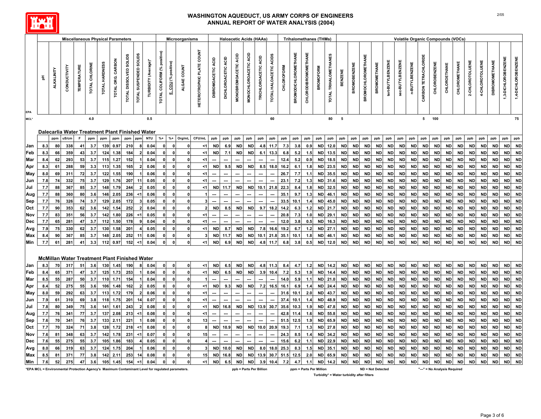

| <b>Miscellaneous Physical Parameters</b><br>Microorganisms<br><b>Haloacetic Acids (HAAs)</b><br><b>Trihalomethanes (THMs)</b> |            |                 |                                                                                                  |                    |                |                |                   |                        |                        |                         |                             |                      |              | <b>Volatile Organic Compounds (VOCs)</b> |                           |                     |                      |                         |                      |                        |                   |                             |                             |                  |                       |                        |                     |                           |                        |                        |                        |                        |                      |                              |                        |                        |                 |                        |                        |                        |                        |
|-------------------------------------------------------------------------------------------------------------------------------|------------|-----------------|--------------------------------------------------------------------------------------------------|--------------------|----------------|----------------|-------------------|------------------------|------------------------|-------------------------|-----------------------------|----------------------|--------------|------------------------------------------|---------------------------|---------------------|----------------------|-------------------------|----------------------|------------------------|-------------------|-----------------------------|-----------------------------|------------------|-----------------------|------------------------|---------------------|---------------------------|------------------------|------------------------|------------------------|------------------------|----------------------|------------------------------|------------------------|------------------------|-----------------|------------------------|------------------------|------------------------|------------------------|
|                                                                                                                               | Ŧ.         | ALKALINITY      | CONDUCTIVITY                                                                                     | <b>TEMPERATURE</b> | TOTAL CHLORINE | TOTAL HARDNESS | TOTAL ORG. CARBON | TOTAL DISSOLVED SOLIDS | TOTAL SUSPENDED SOLIDS | (Average)*<br>TURBIDITY | TOTAL COLIFORM (% positive) | E. COLI (% positive) | ALGAE COUNT  | HETEROTROPHIC PLATE COUNT                | <b>DIBROMOACETIC ACID</b> | DICHLOROACETIC ACID | MONOBROMOACETIC ACID | MONOCHLOROACETIC ACID   | TRICHLOROACETIC ACID | TOTAL HALOACETIC ACIDS | <b>CHLOROFORM</b> | <b>BROMODICHLOROMETHANE</b> | <b>CHLORODIBROMOMETHANE</b> | <b>BROMOFORM</b> | TOTAL TRIHALOMETHANES | BENZENE                | <b>BROMOBENZENE</b> | <b>BROMOCHLOROMETHANE</b> | <b>BROMOMETHANE</b>    | tert-BUTYLBENZENE      | sec-BUTYLBENZENE       | n-BUTYLBENZENE         | CARBON TETRACHLORIDE | <b>CHLOROBENZENE</b>         | CHLOROETHANE           | CHLOROMETHANE          | 2-CHLOROTOLUENE | 4-CHLOROTOLUENE        | <b>DIBROMOMETHANE</b>  | 3-DICHLOROBENZENE      | 1,4-DICHLOROBENZENE    |
| MCL*                                                                                                                          |            |                 |                                                                                                  |                    | 4.0            |                |                   |                        |                        | 0.5                     |                             |                      |              |                                          |                           |                     |                      |                         |                      | 60                     |                   |                             |                             |                  | 80                    | 5                      |                     |                           |                        |                        |                        |                        | 5                    | 100                          |                        |                        |                 |                        |                        |                        | 75                     |
|                                                                                                                               |            |                 |                                                                                                  |                    |                |                |                   |                        |                        |                         |                             |                      |              |                                          |                           |                     |                      |                         |                      |                        |                   |                             |                             |                  |                       |                        |                     |                           |                        |                        |                        |                        |                      |                              |                        |                        |                 |                        |                        |                        |                        |
|                                                                                                                               |            |                 | Dalecarlia Water Treatment Plant Finished Water                                                  | F                  |                |                |                   |                        |                        |                         |                             |                      |              |                                          |                           |                     |                      |                         |                      |                        |                   |                             |                             |                  |                       |                        |                     |                           |                        |                        |                        |                        |                      |                              |                        |                        |                 |                        |                        |                        |                        |
|                                                                                                                               |            | ppm             | uS/cm                                                                                            |                    | ppm            | ppm            | ppm               | ppm                    | ppm                    | <b>NTU</b>              | $% +$                       | $% +$                | Org/mL       | CFU/mL                                   | ppb                       | ppb                 | ppb                  | ppb                     | ppb                  | ppb                    | ppb               | ppb                         | ppb                         | ppb              | ppb                   | ppb                    | ppb                 | ppb                       | ppb                    | ppb                    | ppb                    | ppb                    | ppb                  | ppb                          | ppb                    | ppb                    | ppb             | ppb                    | ppb                    | ppb                    | ppb                    |
| Jan                                                                                                                           | 8.3        | 80              | 338                                                                                              | 41                 | 3.7            | 139            | 0.97              | 210                    |                        | 0.04                    |                             |                      |              | $<$ 1                                    | <b>ND</b>                 | 6.9                 | <b>ND</b>            | <b>ND</b>               | 4.8                  | 11.7                   | 7.3               | 3.8                         | 0.9                         | <b>ND</b>        | 12.0                  | <b>ND</b>              | <b>ND</b>           | <b>ND</b>                 | <b>ND</b>              | <b>ND</b>              | <b>ND</b>              | <b>ND</b>              | <b>ND</b>            | <b>ND</b>                    | <b>ND</b>              | <b>ND</b>              | <b>ND</b>       | <b>ND</b>              | <b>ND</b>              | <b>ND</b>              | <b>ND</b>              |
| Feb                                                                                                                           | 8.3        | 66              | 359                                                                                              | 43                 | 3.7<br>3.7     | 124<br>115     | 1.38              | 184                    |                        | 0.04                    |                             |                      |              | $<$ 1                                    | ND                        | 7.1                 | <b>ND</b>            | <b>ND</b>               | 6.1                  | 13.3                   | 6.8               | 5.2                         | 1.5                         | ND               | 13.5                  | <b>ND</b>              | <b>ND</b>           | ND                        | <b>ND</b>              | <b>ND</b>              | <b>ND</b>              | <b>ND</b><br><b>ND</b> | <b>ND</b>            | <b>ND</b><br><b>ND</b>       | <b>ND</b>              | <b>ND</b>              | <b>ND</b>       | <b>ND</b>              | <b>ND</b>              | <b>ND</b><br><b>ND</b> | <b>ND</b><br><b>ND</b> |
| Mar                                                                                                                           | 8.4<br>8.3 | 62<br>61        | 293<br>288                                                                                       | 53<br>59           | 3.3            | 113            | 1.27<br>1.35      | 152<br>165             |                        | 0.04<br>0.06            |                             |                      |              | $<$ 1<br>$<$ 1                           | <b>ND</b>                 | 9.5                 | <b>ND</b>            | <b>ND</b>               | 8.5                  | 18.0                   | 12.4<br>16.2      | 5.2<br>6.1                  | 0.9<br>1.8                  | <b>ND</b><br>ND  | 18.5<br>23.5          | <b>ND</b><br><b>ND</b> | <b>ND</b><br>ND     | <b>ND</b><br><b>ND</b>    | <b>ND</b><br><b>ND</b> | <b>ND</b><br><b>ND</b> | <b>ND</b><br><b>ND</b> | <b>ND</b>              | <b>ND</b><br>ND      | <b>ND</b>                    | <b>ND</b><br><b>ND</b> | <b>ND</b><br><b>ND</b> | <b>ND</b><br>ND | <b>ND</b><br><b>ND</b> | <b>ND</b><br><b>ND</b> | <b>ND</b>              | <b>ND</b>              |
| Apr<br>May                                                                                                                    | 8.0        | 69              | 311                                                                                              | 72                 | 3.7            | 122            | 1.55              | 190                    |                        | 0.06                    |                             | 0                    |              | $<$ 1                                    |                           |                     |                      |                         |                      |                        | 26.7              | 7.7                         | 1.1                         | <b>ND</b>        | 35.5                  | <b>ND</b>              | <b>ND</b>           | <b>ND</b>                 | <b>ND</b>              | <b>ND</b>              | <b>ND</b>              | <b>ND</b>              | <b>ND</b>            | <b>ND</b>                    | <b>ND</b>              | <b>ND</b>              | <b>ND</b>       | <b>ND</b>              | <b>ND</b>              | <b>ND</b>              | <b>ND</b>              |
| Jun                                                                                                                           | 7.8        | 74              | 332                                                                                              | 75                 | 3.7            | 129            | 1.76              | 207                    | 11                     | 0.05                    |                             | $\Omega$             |              | $<$ 1                                    |                           |                     |                      |                         |                      |                        | 23.1              | 7.2                         | 1.3                         | ND               | 31.6                  | <b>ND</b>              | <b>ND</b>           | <b>ND</b>                 | <b>ND</b>              | <b>ND</b>              | <b>ND</b>              | <b>ND</b>              | <b>ND</b>            | <b>ND</b>                    | <b>ND</b>              | <b>ND</b>              | <b>ND</b>       | <b>ND</b>              | <b>ND</b>              | <b>ND</b>              | <b>ND</b>              |
| Jul                                                                                                                           | 7.7        | 88              | 367                                                                                              | 85                 | 3.7            | 148            | 1.79              | 244                    |                        | 0.05                    |                             | $\mathbf{0}$         |              | $<$ 1                                    | <b>ND</b>                 | 11.7                | <b>ND</b>            | <b>ND</b>               | 10.1                 | 21.8                   | 22.3              | 8.4                         | 1.8                         | <b>ND</b>        | 32.5                  | ND                     | <b>ND</b>           | <b>ND</b>                 | <b>ND</b>              | <b>ND</b>              | <b>ND</b>              | <b>ND</b>              | <b>ND</b>            | <b>ND</b>                    | <b>ND</b>              | <b>ND</b>              | <b>ND</b>       | <b>ND</b>              | <b>ND</b>              | <b>ND</b>              | <b>ND</b>              |
| Aug                                                                                                                           | 7.7        | 88              | 360                                                                                              | 80                 | 3.6            | 146            | 2.05              | 236                    | <1                     | 0.06                    |                             | $\mathbf{0}$         | $\Omega$     |                                          |                           |                     |                      |                         |                      |                        | 35.1              | 9.7                         | 1.3                         | <b>ND</b>        | 46.1                  | <b>ND</b>              | <b>ND</b>           | <b>ND</b>                 | <b>ND</b>              | <b>ND</b>              | <b>ND</b>              | <b>ND</b>              | <b>ND</b>            | <b>ND</b>                    | <b>ND</b>              | <b>ND</b>              | <b>ND</b>       | <b>ND</b>              | <b>ND</b>              | <b>ND</b>              | <b>ND</b>              |
| Sep                                                                                                                           | 7.7        | 76              | 326                                                                                              | 74                 | 3.7            | 129            | 2.05              | 172                    |                        | 0.05                    |                             | $\mathbf{0}$         | $\mathbf 0$  | 3                                        |                           |                     |                      |                         |                      |                        | 33.5              | 10.1                        | 1.4                         | ND               | 45.0                  | <b>ND</b>              | <b>ND</b>           | <b>ND</b>                 | <b>ND</b>              | <b>ND</b>              | <b>ND</b>              | <b>ND</b>              | <b>ND</b>            | <b>ND</b>                    | <b>ND</b>              | <b>ND</b>              | <b>ND</b>       | <b>ND</b>              | <b>ND</b>              | <b>ND</b>              | <b>ND</b>              |
| Oct                                                                                                                           | 7.7        | 90              | 353                                                                                              | 62                 | 3.6            | 142            | 1.54              | 252                    |                        | 0.04                    |                             | $\mathbf{0}$         | $\mathbf{0}$ | $\overline{2}$                           | <b>ND</b>                 | 8.5                 | <b>ND</b>            | <b>ND</b>               | 9.7                  | 18.2                   | 14.2              | 6.3                         | 1.2                         | ND               | 21.7                  | <b>ND</b>              | <b>ND</b>           | <b>ND</b>                 | <b>ND</b>              | <b>ND</b>              | <b>ND</b>              | <b>ND</b>              | <b>ND</b>            | <b>ND</b>                    | <b>ND</b>              | <b>ND</b>              | <b>ND</b>       | <b>ND</b>              | <b>ND</b>              | <b>ND</b>              | <b>ND</b>              |
| Nov                                                                                                                           | 7.7        | 83              | 351                                                                                              | 56                 | 3.7            | 142            | 1.80              | 226                    |                        | 0.05                    |                             | $\mathbf{0}$         | $\Omega$     | $1$                                      |                           |                     |                      |                         |                      |                        | 20.8              | 7.3                         | 1.0                         | <b>ND</b>        | 29.                   | <b>ND</b>              | <b>ND</b>           | <b>ND</b>                 | <b>ND</b>              | <b>ND</b>              | <b>ND</b>              | <b>ND</b>              | <b>ND</b>            | <b>ND</b>                    | <b>ND</b>              | <b>ND</b>              | <b>ND</b>       | <b>ND</b>              | <b>ND</b>              | <b>ND</b>              | <b>ND</b>              |
| Dec                                                                                                                           | 7.7        | 65              | 281                                                                                              | 47                 | 3.7            | $112$          | 1.50              | 178                    |                        | 0.04                    |                             | $\mathbf 0$          | 0            | $<$ 1                                    |                           |                     |                      |                         |                      |                        | 12.0              | 3.8                         | 0.5                         | ND               | 16.3                  | ND                     | <b>ND</b>           | <b>ND</b>                 | <b>ND</b>              | <b>ND</b>              | <b>ND</b>              | <b>ND</b>              | ND                   | <b>ND</b>                    | <b>ND</b>              | <b>ND</b>              | <b>ND</b>       | <b>ND</b>              | <b>ND</b>              | <b>ND</b>              | <b>ND</b>              |
| Avg                                                                                                                           | 7.9        | 75              | 330                                                                                              | 62                 | 3.7            | 130            | 1.58              | 201                    |                        | 0.05                    |                             | $\mathbf{0}$         | $\mathbf{0}$ | $\leq$ 1                                 | <b>ND</b>                 | 8.7                 | <b>ND</b>            | <b>ND</b>               | 7.8                  | 16.6                   | 19.2              | 6.7                         | 1.2                         | <b>ND</b>        | 27.1                  | <b>ND</b>              | <b>ND</b>           | <b>ND</b>                 | <b>ND</b>              | <b>ND</b>              | <b>ND</b>              | <b>ND</b>              | <b>ND</b>            | <b>ND</b>                    | <b>ND</b>              | <b>ND</b>              | <b>ND</b>       | <b>ND</b>              | <b>ND</b>              | <b>ND</b>              | <b>ND</b>              |
| Max                                                                                                                           | 8.4        | 90 <sub>1</sub> | 367                                                                                              | 85                 | 3.7            | 148            | 2.05              | 252                    | 11                     | 0.06                    |                             | $\mathbf 0$          | 0            |                                          | <b>ND</b>                 | 11.7                | <b>ND</b>            | <b>ND</b>               | 10.1                 | 21.8                   | 35.1              | 10.1                        | 1.8                         | ND               | 46.1                  | ND                     | <b>ND</b>           | <b>ND</b>                 | <b>ND</b>              | <b>ND</b>              | <b>ND</b>              | <b>ND</b>              | <b>ND</b>            | <b>ND</b>                    | <b>ND</b>              | <b>ND</b>              | <b>ND</b>       | <b>ND</b>              | <b>ND</b>              | <b>ND</b>              | <b>ND</b>              |
| Min                                                                                                                           | 7.7        | 61              | 281                                                                                              | 41                 | 3.3            | $112$          | 0.97              | 152                    |                        | 0.04                    |                             | $\mathbf{0}$         | $\mathbf 0$  | $\leq$ 1                                 | <b>ND</b>                 | 6.9                 | <b>ND</b>            | <b>ND</b>               | 4.8                  | 11.7                   | 6.8               | 3.8                         | 0.5                         | <b>ND</b>        | 12.0                  | <b>ND</b>              | <b>ND</b>           | <b>ND</b>                 | <b>ND</b>              | <b>ND</b>              | <b>ND</b>              | <b>ND</b>              | <b>ND</b>            | <b>ND</b>                    | <b>ND</b>              | <b>ND</b>              | <b>ND</b>       | <b>ND</b>              | <b>ND</b>              | <b>ND</b>              | <b>ND</b>              |
|                                                                                                                               |            |                 |                                                                                                  |                    |                |                |                   |                        |                        |                         |                             |                      |              |                                          |                           |                     |                      |                         |                      |                        |                   |                             |                             |                  |                       |                        |                     |                           |                        |                        |                        |                        |                      |                              |                        |                        |                 |                        |                        |                        |                        |
|                                                                                                                               |            |                 | <b>McMillan Water Treatment Plant Finished Water</b>                                             |                    |                |                |                   |                        |                        |                         |                             |                      |              |                                          |                           |                     |                      |                         |                      |                        |                   |                             |                             |                  |                       |                        |                     |                           |                        |                        |                        |                        |                      |                              |                        |                        |                 |                        |                        |                        |                        |
| Jan                                                                                                                           |            | <b>70</b>       | 317                                                                                              | 51                 | 3.6            | 130            | 1.45              | 190                    |                        | 0.04                    |                             | $\mathbf{0}$         | $\mathbf 0$  | $<$ 1                                    | <b>ND</b>                 | 6.5                 | <b>ND</b>            | <b>ND</b>               | 4.8                  | 11.3                   | 8.4               | 4.7                         | 1.2                         | <b>ND</b>        | 14.2                  | <b>ND</b>              | <b>ND</b>           | <b>ND</b>                 | <b>ND</b>              | <b>ND</b>              | <b>ND</b>              | <b>ND</b>              | <b>ND</b>            | <b>ND</b>                    | <b>ND</b>              | <b>ND</b>              | <b>ND</b>       | <b>ND</b>              | <b>ND</b>              | <b>ND</b>              | <b>ND</b>              |
| Feb                                                                                                                           | 8.4        | 65              | 371                                                                                              | 47                 | 3.7            | 125            | 1.73              | 253                    |                        | 0.04                    |                             | $\mathbf{0}$         | $\mathbf{0}$ | $\leq 1$                                 | <b>ND</b>                 | 6.5                 | <b>ND</b>            | <b>ND</b>               | 3.9                  | 10.4                   | 7.2               | 5.3                         | 1.9                         | <b>ND</b>        | 14.4                  | <b>ND</b>              | <b>ND</b>           | <b>ND</b>                 | <b>ND</b>              | <b>ND</b>              | <b>ND</b>              | <b>ND</b>              | <b>ND</b>            | <b>ND</b>                    | <b>ND</b>              | <b>ND</b>              | <b>ND</b>       | <b>ND</b>              | <b>ND</b>              | <b>ND</b>              | <b>ND</b>              |
| Mar                                                                                                                           | 8.5        | 55              | 287                                                                                              | 50                 | 3.7            | 110            | 1.71              | 154                    |                        | 0.04                    |                             | $\mathbf{0}$         |              |                                          | $\sim$                    |                     |                      | ---                     |                      | ---                    | 14.0              | 5.9                         | 1.1                         | ND               | 21.0                  | <b>ND</b>              | <b>ND</b>           | <b>ND</b>                 | <b>ND</b>              | <b>ND</b>              | <b>ND</b>              | <b>ND</b>              | <b>ND</b>            | <b>ND</b>                    | <b>ND</b>              | <b>ND</b>              | <b>ND</b>       | <b>ND</b>              | <b>ND</b>              | <b>ND</b>              | <b>ND</b>              |
| Apr                                                                                                                           | 8.4        | 52              | 275                                                                                              | 55                 | 3.6            | 106            | 1.48              | 162                    |                        | 0.05                    |                             | $\Omega$             |              | $<$ 1                                    | <b>ND</b>                 | 9.3                 | <b>ND</b>            | <b>ND</b>               | 7.2                  | 16.5                   | 16.1              | 6.9                         | 1.4                         | <b>ND</b>        | 24.4                  | <b>ND</b>              | <b>ND</b>           | <b>ND</b>                 | <b>ND</b>              | <b>ND</b>              | <b>ND</b>              | <b>ND</b>              | <b>ND</b>            | <b>ND</b>                    | <b>ND</b>              | <b>ND</b>              | <b>ND</b>       | <b>ND</b>              | <b>ND</b>              | <b>ND</b>              | <b>ND</b>              |
| May                                                                                                                           | 8.0        | 59              | 292                                                                                              | 63                 | 3.7            | 113            | 1.72              | 179                    |                        | 0.06                    |                             | 0                    |              | $<$ 1                                    |                           |                     |                      |                         |                      |                        | 31.6              | 10.1                        | 2.0                         | <b>ND</b>        | 43.7                  | <b>ND</b>              | ND                  | <b>ND</b>                 | ND                     | <b>ND</b>              | <b>ND</b>              | <b>ND</b>              | ND                   | <b>ND</b>                    | <b>ND</b>              | <b>ND</b>              | ND              | <b>ND</b>              | <b>ND</b>              | <b>ND</b>              | <b>ND</b>              |
| Jun                                                                                                                           | 7.9        | 61              | 310                                                                                              | 69                 | 3.8            | 118            | 1.75              | 201                    | 14                     | 0.07                    |                             | $\mathbf{0}$         |              | $<$ 1                                    |                           |                     |                      |                         |                      |                        | 37.4              | 10.1                        | 1.4                         | <b>ND</b>        | 48.9                  | <b>ND</b>              | <b>ND</b>           | <b>ND</b>                 | <b>ND</b>              | <b>ND</b>              | <b>ND</b>              | <b>ND</b>              | ND                   | <b>ND</b>                    | <b>ND</b>              | <b>ND</b>              | <b>ND</b>       | <b>ND</b>              | <b>ND</b>              | <b>ND</b>              | <b>ND</b>              |
| Jul                                                                                                                           | 7.8        | 80              | 349                                                                                              | 75                 | 3.6            | 141            | 1.61              | 243                    |                        | 0.08                    |                             | $\Omega$             |              | $<$ 1                                    | <b>ND</b>                 | 16.8                | <b>ND</b>            | <b>ND</b>               | 13.9                 | 30.7                   | 35.6              | 10.3                        | 1.9                         | ND               | 47.8                  | <b>ND</b>              | <b>ND</b>           | <b>ND</b>                 | <b>ND</b>              | <b>ND</b>              | <b>ND</b>              | <b>ND</b>              | <b>ND</b>            | <b>ND</b>                    | <b>ND</b>              | <b>ND</b>              | <b>ND</b>       | <b>ND</b>              | <b>ND</b>              | <b>ND</b>              | <b>ND</b>              |
| Aug                                                                                                                           | 7.7        | 76              | 341                                                                                              | 77                 | 3.7            | 137            | 2.08              | 213                    | <1                     | 0.08                    |                             | $\mathbf{0}$         |              | $<$ 1                                    |                           |                     |                      |                         |                      |                        | 42.8              | 11.4                        | 1.6                         | ND               | 55.8                  | <b>ND</b>              | <b>ND</b>           | <b>ND</b>                 | <b>ND</b>              | <b>ND</b>              | <b>ND</b>              | <b>ND</b>              | ND                   | <b>ND</b>                    | <b>ND</b>              | <b>ND</b>              | <b>ND</b>       | <b>ND</b>              | <b>ND</b>              | <b>ND</b>              | <b>ND</b>              |
| Sep                                                                                                                           | 7.6        | 70 I            | 341                                                                                              | 76                 | 3.7            | 133            | 2.11              | 221                    |                        | 0.08                    |                             | $\mathbf{0}$         | $\mathbf{0}$ | 13                                       |                           |                     |                      |                         |                      |                        | 51.5              | 12.5                        | 1.9                         | <b>ND</b>        | 65.9                  | <b>ND</b>              | <b>ND</b>           | <b>ND</b>                 | <b>ND</b>              | <b>ND</b>              | <b>ND</b>              | <b>ND</b>              | <b>ND</b>            | <b>ND</b>                    | <b>ND</b>              | <b>ND</b>              | <b>ND</b>       | <b>ND</b>              | <b>ND</b>              | <b>ND</b>              | $\sf ND$               |
| Oct                                                                                                                           | 7.7        | 70              | 324                                                                                              | 71                 | 3.8            | 128            | 1.72              | 218                    | <1                     | 0.08                    |                             | $\mathbf{0}$         | 0            | 8                                        | <b>ND</b>                 | 10.9                | <b>ND</b>            | <b>ND</b>               | 10.0                 | 20.9                   | 19.3              | 7.1                         | 1.3                         | ND               | 27.8                  | <b>ND</b>              | <b>ND</b>           | <b>ND</b>                 | <b>ND</b>              | <b>ND</b>              | <b>ND</b>              | <b>ND</b>              | <b>ND</b>            | <b>ND</b>                    | <b>ND</b>              | <b>ND</b>              | <b>ND</b>       | <b>ND</b>              | <b>ND</b>              | <b>ND</b>              | <b>ND</b>              |
| Nov                                                                                                                           | 7.6        | 81              | 348                                                                                              | 63                 | 3.7            | $142$          | 1.78              | 231                    | <1                     | 0.07                    |                             | $\mathbf{0}$         | $\mathbf{0}$ | 15                                       |                           |                     |                      |                         |                      |                        | 24.3              | 8.5                         | 1.4                         | ND               | 34.2                  | <b>ND</b>              | <b>ND</b>           | <b>ND</b>                 | <b>ND</b>              | <b>ND</b>              | <b>ND</b>              | <b>ND</b>              | <b>ND</b>            | <b>ND</b>                    | <b>ND</b>              | <b>ND</b>              | <b>ND</b>       | <b>ND</b>              | <b>ND</b>              | <b>ND</b>              | <b>ND</b>              |
| Dec                                                                                                                           | 7.6        | 55              | 275                                                                                              | 55                 | 3.7            | 105            | 1.86              | 183                    |                        | 0.05                    |                             | $\mathbf{0}$         | $\Omega$     |                                          |                           |                     |                      |                         |                      |                        | 15.6              | 6.2                         | 1.1                         | <b>ND</b>        | 22.9                  | <b>ND</b>              | <b>ND</b>           | <b>ND</b>                 | <b>ND</b>              | <b>ND</b>              | <b>ND</b>              | <b>ND</b>              | <b>ND</b>            | <b>ND</b>                    | <b>ND</b>              | <b>ND</b>              | <b>ND</b>       | <b>ND</b>              | <b>ND</b>              | <b>ND</b>              | <b>ND</b>              |
| Avg                                                                                                                           | 8.0        | 66              | 319                                                                                              | 63                 | 3.7            | 124            | 1.75              | 204                    |                        | 0.06                    |                             | $\mathbf{0}$         | $\mathbf{0}$ | 3                                        | <b>ND</b>                 | 10.0                | <b>ND</b>            | <b>ND</b>               | 8.0                  | 18.0                   | 25.3              | 8.3                         | 1.5                         | <b>ND</b>        | 35.1                  | <b>ND</b>              | <b>ND</b>           | <b>ND</b>                 | <b>ND</b>              | <b>ND</b>              | <b>ND</b>              | <b>ND</b>              | <b>ND</b>            | <b>ND</b>                    | <b>ND</b>              | <b>ND</b>              | <b>ND</b>       | <b>ND</b>              | <b>ND</b>              | <b>ND</b>              | <b>ND</b>              |
| Max                                                                                                                           | 8.5        | 81              | 371                                                                                              | 77                 | 3.8            | 142            | 2.11              | 253                    | 14                     | 0.08                    |                             | 0                    | $\mathbf{0}$ | 15                                       | <b>ND</b>                 | 16.8                | <b>ND</b>            | <b>ND</b>               | 13.9                 | 30.7                   | 51.5              | 12.5                        | 2.0                         | <b>ND</b>        | 65.9                  | <b>ND</b>              | <b>ND</b>           | <b>ND</b>                 | <b>ND</b>              | <b>ND</b>              | <b>ND</b>              | <b>ND</b>              | <b>ND</b>            | <b>ND</b>                    | <b>ND</b>              | <b>ND</b>              | <b>ND</b>       | <b>ND</b>              | <b>ND</b>              | <b>ND</b>              | <b>ND</b>              |
| Min                                                                                                                           | 7.6        | 52              | 275                                                                                              | 47                 | 3.6            | 105            | 1.45              | 154                    | $<$ 1                  | 0.04                    |                             | 0                    | $\mathbf{0}$ | $\leq 1$                                 | <b>ND</b>                 | 6.5                 | <b>ND</b>            | <b>ND</b>               | 3.9                  | 10.4                   | 7.2               | 4.7                         | 1.1                         | <b>ND</b>        | 14.2                  | <b>ND</b>              | <b>ND</b>           | <b>ND</b>                 | <b>ND</b>              | <b>ND</b>              | <b>ND</b>              | <b>ND</b>              | <b>ND</b>            | <b>ND</b>                    | <b>ND</b>              | <b>ND</b>              | <b>ND</b>       | <b>ND</b>              | <b>ND</b>              | <b>ND</b>              | <b>ND</b>              |
|                                                                                                                               |            |                 | *EPA MCL = Environmental Protection Agency's Maximum Contaminant Level for regulated parameters. |                    |                |                |                   |                        |                        |                         |                             |                      |              |                                          |                           |                     |                      | ppb = Parts Per Billion |                      |                        |                   |                             | ppm = Parts Per Million     |                  |                       |                        |                     |                           | ND = Not Detected      |                        |                        |                        |                      | "---" = No Analysis Required |                        |                        |                 |                        |                        |                        |                        |

2/05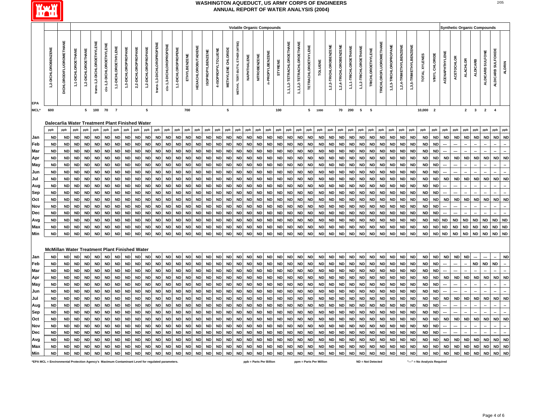

|                                                                                                  |                                                 |                         |                    |                    |                            |                          |                      |                     |                     |                     |                           |                         |                     |              |                            |                         |                    |                    |                               |             |              | <b>Volatile Organic Compounds</b> |                |                           |                           |                            |                |                        |                        |                       |                       |                          |                               |                        |                        |                        |                              |                |                       | <b>Synthetic Organic Compounds</b> |                 |                                |                  |                    |               |
|--------------------------------------------------------------------------------------------------|-------------------------------------------------|-------------------------|--------------------|--------------------|----------------------------|--------------------------|----------------------|---------------------|---------------------|---------------------|---------------------------|-------------------------|---------------------|--------------|----------------------------|-------------------------|--------------------|--------------------|-------------------------------|-------------|--------------|-----------------------------------|----------------|---------------------------|---------------------------|----------------------------|----------------|------------------------|------------------------|-----------------------|-----------------------|--------------------------|-------------------------------|------------------------|------------------------|------------------------|------------------------------|----------------|-----------------------|------------------------------------|-----------------|--------------------------------|------------------|--------------------|---------------|
|                                                                                                  |                                                 |                         |                    |                    |                            |                          |                      |                     |                     |                     |                           |                         |                     |              |                            |                         |                    |                    |                               |             |              |                                   |                |                           |                           |                            |                |                        |                        |                       |                       |                          |                               |                        |                        |                        |                              |                |                       |                                    |                 |                                |                  |                    |               |
|                                                                                                  | 1,2-DICHLOROBENZENE                             | DICHLORODIFLUOROMETHANE | 1,1-DICHLOROETHANE | 1,2-DICHLOROETHANE | trans-1,2-DICHLOROETHYLENE | cis-1,2-DICHLOROETHYLENE | 1,1-DICHLOROETHYLENE | 1,3-DICHLOROPROPANE | 2,2-DICHLOROPROPANE | 1,2-DICHLOROPROPANE | trans-1,3-DICHLOROPROPENE | cis-1,3-DICHLOROPROPENE | 1,1-DICHLOROPROPENE | ETHYLBENZENE | <b>HEXACHLOROBUTADIENE</b> | <b>ISOPROPYLBENZENE</b> | 4-ISOPROPYLTOLUENE | METHYLENE CHLORIDE | METHYL TERT-BUTYL ETHER (MTBE | NAPHTHALENE | NITROBENZENE | n-PROPYLBENZENE                   | <b>STYRENE</b> | 1,1,1,2-TETRACHLOROETHANE | 1,1,2,2-TETRACHLOROETHANE | <b>TETRACHLOROETHYLENE</b> | <b>TOLUENE</b> | 1,2,3-TRICHLOROBENZENE | 1,2,4-TRICHLOROBENZENE | 1,1,1-TRICHLOROETHANE | 1,1,2-TRICHLOROETHANE | <b>TRICHLOROETHYLENE</b> | <b>TRICHLOROFLUOROMETHANE</b> | 1,2,3-TRICHLOROPROPANE | 1,2,4-TRIMETHYLBENZENE | 1,3,5-TRIMETHYLBENZENE | TOTAL XYLENES                | VINYL CHLORIDE | <b>ACENAPHTHYLENE</b> | <b>ACETOCHLOR</b>                  | <b>ALACHLOR</b> | <b>ALDICARB</b>                | ALDICARB SULFONE | ALDICARB SULFOXIDE | <b>ALDRIN</b> |
| <b>EPA</b><br>$MCL^*$                                                                            | 600                                             |                         |                    |                    | 5 100                      | 70 7                     |                      |                     |                     | 5                   |                           |                         |                     | 700          |                            |                         |                    | ${\bf 5}$          |                               |             |              |                                   | 100            |                           |                           | 5 1000                     |                |                        |                        | 70 200                | 5 5                   |                          |                               |                        |                        |                        | 10,000 2                     |                |                       |                                    |                 | $2 \qquad 3 \qquad 2 \qquad 4$ |                  |                    |               |
|                                                                                                  | Dalecarlia Water Treatment Plant Finished Water |                         |                    |                    |                            |                          |                      |                     |                     |                     |                           |                         |                     |              |                            |                         |                    |                    |                               |             |              |                                   |                |                           |                           |                            |                |                        |                        |                       |                       |                          |                               |                        |                        |                        |                              |                |                       |                                    |                 |                                |                  |                    |               |
|                                                                                                  | ppb                                             | ppb                     | ppb                | ppb                | ppb                        | ppb                      | ppb                  | ppb                 | ppb                 | ppb                 | ppb                       | ppb                     | ppb                 | ppb          | ppb                        | ppb                     | ppb                | ppb                | ppb                           | ppb         | ppb          | ppb                               | ppb            | ppb                       | ppb                       | ppb                        | ppb            | ppb                    | ppb                    | ppb                   | ppb                   | ppb                      | ppb                           | ppb                    | ppb                    | ppb                    | ppb                          | ppb            | ppb                   | ppb                                | ppb             | ppb                            | ppb              | ppb                | ppb           |
| Jan                                                                                              | <b>ND</b>                                       | <b>ND</b>               | <b>ND</b>          | <b>ND</b>          | <b>ND</b>                  | <b>ND</b>                | <b>ND</b>            | <b>ND</b>           | <b>ND</b>           | <b>ND</b>           | <b>ND</b>                 | <b>ND</b>               | <b>ND</b>           | <b>ND</b>    | <b>ND</b>                  | <b>ND</b>               | <b>ND</b>          | <b>ND</b>          | <b>ND</b>                     | <b>ND</b>   | <b>ND</b>    | <b>ND</b>                         | <b>ND</b>      | <b>ND</b>                 | <b>ND</b>                 | <b>ND</b>                  | <b>ND</b>      | <b>ND</b>              | <b>ND</b>              | <b>ND</b>             | <b>ND</b>             | <b>ND</b>                | <b>ND</b>                     | <b>ND</b>              | <b>ND</b>              | <b>ND</b>              | <b>ND</b>                    | <b>ND</b>      | <b>ND</b>             | <b>ND</b>                          | <b>ND</b>       | <b>ND</b>                      | <b>ND</b>        | <b>ND</b>          | <b>ND</b>     |
| Feb                                                                                              | <b>ND</b>                                       | <b>ND</b>               | <b>ND</b>          |                    | <b>ND</b>                  | <b>ND</b>                | <b>ND</b>            | <b>ND</b>           | <b>ND</b>           | ND                  | <b>ND</b>                 | <b>ND</b>               | <b>ND</b>           | <b>ND</b>    | <b>ND</b>                  | <b>ND</b>               | <b>ND</b>          | <b>ND</b>          | <b>ND</b>                     | <b>ND</b>   | <b>ND</b>    | <b>ND</b>                         | <b>ND</b>      | <b>ND</b>                 | <b>ND</b>                 | <b>ND</b>                  | <b>ND</b>      | <b>ND</b>              | <b>ND</b>              | <b>ND</b>             | <b>ND</b>             | <b>ND</b>                | <b>ND</b>                     | ND                     | <b>ND</b>              | <b>ND</b>              | <b>ND</b>                    | <b>ND</b>      |                       |                                    |                 |                                |                  |                    |               |
| Mar                                                                                              | <b>ND</b>                                       | <b>ND</b>               | <b>ND</b>          | <b>ND</b>          | <b>ND</b>                  | <b>ND</b>                | <b>ND</b>            | <b>ND</b>           | <b>ND</b>           | <b>ND</b>           |                           | <b>ND</b>               | <b>ND</b>           | <b>ND</b>    | <b>ND</b>                  | <b>ND</b>               | <b>ND</b>          | <b>ND</b>          | <b>ND</b>                     | <b>ND</b>   | <b>ND</b>    | ND                                | <b>ND</b>      | <b>ND</b>                 | ND                        | <b>ND</b>                  | <b>ND</b>      | <b>ND</b>              | <b>ND</b>              | <b>ND</b>             | <b>ND</b>             | <b>ND</b>                | <b>ND</b>                     | ND                     | <b>ND</b>              | <b>ND</b>              | <b>ND</b>                    | <b>ND</b>      |                       |                                    |                 |                                |                  |                    |               |
|                                                                                                  | <b>ND</b>                                       | <b>ND</b>               | <b>ND</b>          | <b>ND</b>          | <b>ND</b>                  | <b>ND</b>                | <b>ND</b>            | <b>ND</b>           | <b>ND</b>           | <b>ND</b>           | <b>ND</b>                 | <b>ND</b>               | <b>ND</b>           | <b>ND</b>    | <b>ND</b>                  | <b>ND</b>               | <b>ND</b>          | <b>ND</b>          | <b>ND</b>                     | <b>ND</b>   | <b>ND</b>    | <b>ND</b>                         | <b>ND</b>      | <b>ND</b>                 | <b>ND</b>                 | <b>ND</b>                  | <b>ND</b>      | <b>ND</b>              | <b>ND</b>              | <b>ND</b>             | <b>ND</b>             | <b>ND</b>                | <b>ND</b>                     | <b>ND</b>              | <b>ND</b>              | <b>ND</b>              | <b>ND</b>                    | <b>ND</b>      | <b>ND</b>             | <b>ND</b>                          | <b>ND</b>       | <b>ND</b>                      | <b>ND</b>        | <b>ND</b>          | <b>ND</b>     |
| Apr                                                                                              | <b>ND</b>                                       | <b>ND</b>               | <b>ND</b>          | <b>ND</b>          | <b>ND</b>                  | <b>ND</b>                | <b>ND</b>            | <b>ND</b>           | <b>ND</b>           | <b>ND</b>           | <b>ND</b>                 | <b>ND</b>               | <b>ND</b>           | <b>ND</b>    | <b>ND</b>                  | <b>ND</b>               | <b>ND</b>          | <b>ND</b>          | <b>ND</b>                     | <b>ND</b>   | <b>ND</b>    | <b>ND</b>                         | <b>ND</b>      | <b>ND</b>                 | <b>ND</b>                 | <b>ND</b>                  | <b>ND</b>      | <b>ND</b>              | <b>ND</b>              | <b>ND</b>             | <b>ND</b>             | <b>ND</b>                | <b>ND</b>                     | <b>ND</b>              | <b>ND</b>              | <b>ND</b>              | <b>ND</b>                    | <b>ND</b>      |                       |                                    |                 |                                |                  |                    |               |
| May                                                                                              |                                                 |                         |                    |                    |                            |                          |                      |                     |                     |                     |                           |                         |                     |              |                            |                         |                    |                    |                               |             |              |                                   |                |                           |                           |                            |                |                        |                        |                       |                       |                          |                               |                        |                        |                        |                              |                |                       |                                    |                 |                                |                  |                    |               |
| Jun                                                                                              | <b>ND</b>                                       | <b>ND</b>               | <b>ND</b>          | <b>ND</b>          | <b>ND</b>                  | <b>ND</b>                | <b>ND</b>            | <b>ND</b>           | <b>ND</b>           | <b>ND</b>           | <b>ND</b>                 | <b>ND</b>               | <b>ND</b>           | <b>ND</b>    | <b>ND</b>                  | <b>ND</b>               | ND                 | <b>ND</b>          | <b>ND</b>                     | <b>ND</b>   | <b>ND</b>    | <b>ND</b>                         | <b>ND</b>      | <b>ND</b>                 | <b>ND</b>                 | <b>ND</b>                  | <b>ND</b>      | <b>ND</b>              | <b>ND</b>              | <b>ND</b>             | <b>ND</b>             | <b>ND</b>                | <b>ND</b>                     | <b>ND</b>              | <b>ND</b>              | <b>ND</b>              | <b>ND</b>                    | <b>ND</b>      |                       |                                    |                 |                                |                  |                    |               |
| Jul                                                                                              | <b>ND</b>                                       | <b>ND</b>               | <b>ND</b>          | <b>ND</b>          | <b>ND</b>                  | <b>ND</b>                | <b>ND</b>            | <b>ND</b>           | <b>ND</b>           | <b>ND</b>           | <b>ND</b>                 | <b>ND</b>               | <b>ND</b>           | <b>ND</b>    | <b>ND</b>                  | <b>ND</b>               | <b>ND</b>          | <b>ND</b>          | <b>ND</b>                     | <b>ND</b>   | <b>ND</b>    | <b>ND</b>                         | <b>ND</b>      | <b>ND</b>                 | <b>ND</b>                 | <b>ND</b>                  | <b>ND</b>      | <b>ND</b>              | <b>ND</b>              | <b>ND</b>             | <b>ND</b>             | <b>ND</b>                | <b>ND</b>                     | <b>ND</b>              | <b>ND</b>              | <b>ND</b>              | <b>ND</b>                    | <b>ND</b>      | <b>ND</b>             | <b>ND</b>                          | <b>ND</b>       | <b>ND</b>                      | <b>ND</b>        | <b>ND</b>          | <b>ND</b>     |
| Aug                                                                                              | <b>ND</b>                                       | <b>ND</b>               | <b>ND</b>          | <b>ND</b>          | <b>ND</b>                  | <b>ND</b>                | <b>ND</b>            | <b>ND</b>           | <b>ND</b>           | <b>ND</b>           | <b>ND</b>                 | <b>ND</b>               | <b>ND</b>           | <b>ND</b>    | <b>ND</b>                  | <b>ND</b>               | <b>ND</b>          | <b>ND</b>          | <b>ND</b>                     | <b>ND</b>   | <b>ND</b>    | <b>ND</b>                         | <b>ND</b>      | <b>ND</b>                 | <b>ND</b>                 | <b>ND</b>                  | <b>ND</b>      | <b>ND</b>              | <b>ND</b>              | <b>ND</b>             | <b>ND</b>             | <b>ND</b>                | <b>ND</b>                     | <b>ND</b>              | <b>ND</b>              | <b>ND</b>              | <b>ND</b>                    | <b>ND</b>      |                       |                                    |                 |                                |                  |                    |               |
| Sep                                                                                              | <b>ND</b>                                       | <b>ND</b>               | <b>ND</b>          | <b>ND</b>          | <b>ND</b>                  | <b>ND</b>                | <b>ND</b>            | <b>ND</b>           | <b>ND</b>           | <b>ND</b>           | <b>ND</b>                 | <b>ND</b>               | <b>ND</b>           | <b>ND</b>    | <b>ND</b>                  | <b>ND</b>               | <b>ND</b>          | <b>ND</b>          | <b>ND</b>                     | <b>ND</b>   | <b>ND</b>    | <b>ND</b>                         | <b>ND</b>      | <b>ND</b>                 | <b>ND</b>                 | <b>ND</b>                  | <b>ND</b>      | <b>ND</b>              | <b>ND</b>              | <b>ND</b>             | <b>ND</b>             | <b>ND</b>                | <b>ND</b>                     | <b>ND</b>              | <b>ND</b>              | <b>ND</b>              | <b>ND</b>                    | <b>ND</b>      |                       |                                    |                 |                                |                  |                    |               |
| Oct                                                                                              | <b>ND</b>                                       | <b>ND</b>               | <b>ND</b>          | <b>ND</b>          | <b>ND</b>                  | <b>ND</b>                | <b>ND</b>            | <b>ND</b>           | <b>ND</b>           | <b>ND</b>           | <b>ND</b>                 | <b>ND</b>               | <b>ND</b>           | <b>ND</b>    | <b>ND</b>                  | <b>ND</b>               | <b>ND</b>          | <b>ND</b>          | <b>ND</b>                     | <b>ND</b>   | <b>ND</b>    | <b>ND</b>                         | <b>ND</b>      | <b>ND</b>                 | <b>ND</b>                 | <b>ND</b>                  | <b>ND</b>      | <b>ND</b>              | <b>ND</b>              | <b>ND</b>             | <b>ND</b>             | <b>ND</b>                | ND                            | <b>ND</b>              | <b>ND</b>              | <b>ND</b>              | <b>ND</b>                    | <b>ND</b>      | <b>ND</b>             | <b>ND</b>                          | <b>ND</b>       | <b>ND</b>                      | <b>ND</b>        | <b>ND</b>          | <b>ND</b>     |
| Nov                                                                                              | <b>ND</b>                                       | <b>ND</b>               | <b>ND</b>          | <b>ND</b>          | <b>ND</b>                  | <b>ND</b>                | <b>ND</b>            | <b>ND</b>           | <b>ND</b>           | <b>ND</b>           | <b>ND</b>                 | <b>ND</b>               | <b>ND</b>           | <b>ND</b>    | <b>ND</b>                  | <b>ND</b>               | <b>ND</b>          | <b>ND</b>          | <b>ND</b>                     | <b>ND</b>   | <b>ND</b>    | <b>ND</b>                         | <b>ND</b>      | <b>ND</b>                 | <b>ND</b>                 | <b>ND</b>                  | <b>ND</b>      | <b>ND</b>              | <b>ND</b>              | <b>ND</b>             | <b>ND</b>             | <b>ND</b>                | <b>ND</b>                     | <b>ND</b>              | <b>ND</b>              | <b>ND</b>              | <b>ND</b>                    | <b>ND</b>      |                       |                                    |                 |                                |                  |                    |               |
| Dec                                                                                              | <b>ND</b>                                       | <b>ND</b>               | <b>ND</b>          | <b>ND</b>          | <b>ND</b>                  | <b>ND</b>                | <b>ND</b>            | <b>ND</b>           | <b>ND</b>           | <b>ND</b>           | <b>ND</b>                 | <b>ND</b>               | <b>ND</b>           | <b>ND</b>    | <b>ND</b>                  | <b>ND</b>               | <b>ND</b>          | <b>ND</b>          | <b>ND</b>                     | <b>ND</b>   | <b>ND</b>    | ND                                | <b>ND</b>      | <b>ND</b>                 | <b>ND</b>                 | <b>ND</b>                  | <b>ND</b>      | <b>ND</b>              | <b>ND</b>              | <b>ND</b>             | <b>ND</b>             | <b>ND</b>                | <b>ND</b>                     | <b>ND</b>              | <b>ND</b>              | <b>ND</b>              | ND                           | <b>ND</b>      |                       |                                    |                 |                                |                  |                    |               |
| Avg                                                                                              | <b>ND</b>                                       | <b>ND</b>               | <b>ND</b>          | ND                 | <b>ND</b>                  | <b>ND</b>                | <b>ND</b>            | <b>ND</b>           | <b>ND</b>           | <b>ND</b>           | <b>ND</b>                 | <b>ND</b>               | <b>ND</b>           | <b>ND</b>    | <b>ND</b>                  | <b>ND</b>               | <b>ND</b>          | <b>ND</b>          | <b>ND</b>                     | <b>ND</b>   | <b>ND</b>    | ND                                | <b>ND</b>      | ND                        | <b>ND</b>                 | <b>ND</b>                  | <b>ND</b>      | <b>ND</b>              | <b>ND</b>              | <b>ND</b>             | <b>ND</b>             | <b>ND</b>                | <b>ND</b>                     | <b>ND</b>              | <b>ND</b>              | <b>ND</b>              | ND                           | <b>ND</b>      | <b>ND</b>             | <b>ND</b>                          | <b>ND</b>       | <b>ND</b>                      | <b>ND</b>        | ND ND              |               |
| <b>Max</b>                                                                                       | <b>ND</b>                                       | <b>ND</b>               | <b>ND</b>          | <b>ND</b>          | <b>ND</b>                  | <b>ND</b>                | <b>ND</b>            | <b>ND</b>           | <b>ND</b>           | <b>ND</b>           | <b>ND</b>                 | <b>ND</b>               | <b>ND</b>           | <b>ND</b>    | ${\sf ND}$                 | <b>ND</b>               | <b>ND</b>          | <b>ND</b>          | ND                            | <b>ND</b>   | <b>ND</b>    | <b>ND</b>                         | <b>ND</b>      | <b>ND</b>                 | $\mathsf{ND}$             | <b>ND</b>                  | <b>ND</b>      | ND                     | <b>ND</b>              | ${\sf ND}$            | <b>ND</b>             | <b>ND</b>                | <b>ND</b>                     | <b>ND</b>              | <b>ND</b>              | <b>ND</b>              | <b>ND</b>                    | <b>ND</b>      | <b>ND</b>             | <b>ND</b>                          | ${\sf ND}$      | <b>ND</b>                      | <b>ND</b>        | ND                 | <b>ND</b>     |
| Min                                                                                              | <b>ND</b>                                       | <b>ND</b>               | $\sf ND$           | <b>ND</b>          | <b>ND</b>                  | <b>ND</b>                | <b>ND</b>            | <b>ND</b>           | <b>ND</b>           | <b>ND</b>           | <b>ND</b>                 | <b>ND</b>               | <b>ND</b>           | <b>ND</b>    | <b>ND</b>                  | <b>ND</b>               | <b>ND</b>          | <b>ND</b>          | <b>ND</b>                     | <b>ND</b>   | ${\sf ND}$   | <b>ND</b>                         | <b>ND</b>      | <b>ND</b>                 | ND                        | <b>ND</b>                  | <b>ND</b>      | <b>ND</b>              | <b>ND</b>              | ${\sf ND}$            | <b>ND</b>             | <b>ND</b>                | <b>ND</b>                     | <b>ND</b>              | $\sf ND$               | <b>ND</b>              | ND                           | <b>ND</b>      | <b>ND</b>             | <b>ND</b>                          | <b>ND</b>       | <b>ND</b>                      | <b>ND</b>        | ND ND              |               |
|                                                                                                  |                                                 |                         |                    |                    |                            |                          |                      |                     |                     |                     |                           |                         |                     |              |                            |                         |                    |                    |                               |             |              |                                   |                |                           |                           |                            |                |                        |                        |                       |                       |                          |                               |                        |                        |                        |                              |                |                       |                                    |                 |                                |                  |                    |               |
|                                                                                                  | McMillan Water Treatment Plant Finished Water   |                         |                    |                    |                            |                          |                      |                     |                     |                     |                           |                         |                     |              |                            |                         |                    |                    |                               |             |              |                                   |                |                           |                           |                            |                |                        |                        |                       |                       |                          |                               |                        |                        |                        |                              |                |                       |                                    |                 |                                |                  |                    |               |
| Jan                                                                                              | <b>ND</b>                                       | ND                      | <b>ND</b>          | <b>ND</b>          | <b>ND</b>                  | <b>ND</b>                | <b>ND</b>            | <b>ND</b>           | ND                  | <b>ND</b>           | <b>ND</b>                 | <b>ND</b>               | <b>ND</b>           | <b>ND</b>    | <b>ND</b>                  | <b>ND</b>               | <b>ND</b>          | <b>ND</b>          | <b>ND</b>                     | <b>ND</b>   | <b>ND</b>    | <b>ND</b>                         | <b>ND</b>      | ND                        | <b>ND</b>                 | <b>ND</b>                  | <b>ND</b>      | <b>ND</b>              | <b>ND</b>              | <b>ND</b>             | <b>ND</b>             | <b>ND</b>                | <b>ND</b>                     | <b>ND</b>              | <b>ND</b>              | <b>ND</b>              | <b>ND</b>                    | <b>ND</b>      | <b>ND</b>             | <b>ND</b>                          | <b>ND</b>       |                                |                  |                    | <b>ND</b>     |
| Feb                                                                                              | <b>ND</b>                                       | <b>ND</b>               | <b>ND</b>          | <b>ND</b>          | <b>ND</b>                  | <b>ND</b>                | <b>ND</b>            | <b>ND</b>           | <b>ND</b>           | <b>ND</b>           | <b>ND</b>                 | <b>ND</b>               | <b>ND</b>           | <b>ND</b>    | <b>ND</b>                  | <b>ND</b>               | <b>ND</b>          | <b>ND</b>          | <b>ND</b>                     | <b>ND</b>   | <b>ND</b>    | <b>ND</b>                         | <b>ND</b>      | <b>ND</b>                 | $\sf ND$                  | <b>ND</b>                  | <b>ND</b>      | <b>ND</b>              | <b>ND</b>              | <b>ND</b>             | <b>ND</b>             | <b>ND</b>                | <b>ND</b>                     | <b>ND</b>              | $\sf ND$               | <b>ND</b>              | <b>ND</b>                    | <b>ND</b>      |                       |                                    |                 | <b>ND</b>                      | ${\sf ND}$       | <b>ND</b>          |               |
| Mar                                                                                              | <b>ND</b>                                       | <b>ND</b>               | <b>ND</b>          | <b>ND</b>          | <b>ND</b>                  | <b>ND</b>                | <b>ND</b>            | <b>ND</b>           | <b>ND</b>           | <b>ND</b>           | <b>ND</b>                 | <b>ND</b>               | <b>ND</b>           | <b>ND</b>    | <b>ND</b>                  | <b>ND</b>               | <b>ND</b>          | <b>ND</b>          | <b>ND</b>                     | <b>ND</b>   | <b>ND</b>    | ND                                | <b>ND</b>      | <b>ND</b>                 | <b>ND</b>                 | <b>ND</b>                  | <b>ND</b>      | <b>ND</b>              | <b>ND</b>              | <b>ND</b>             | <b>ND</b>             | <b>ND</b>                | <b>ND</b>                     | <b>ND</b>              | <b>ND</b>              | <b>ND</b>              | <b>ND</b>                    | <b>ND</b>      |                       |                                    |                 |                                |                  |                    |               |
| Apr                                                                                              | <b>ND</b>                                       | <b>ND</b>               | <b>ND</b>          | <b>ND</b>          | <b>ND</b>                  | <b>ND</b>                | <b>ND</b>            | <b>ND</b>           | <b>ND</b>           | <b>ND</b>           | <b>ND</b>                 | <b>ND</b>               | <b>ND</b>           | <b>ND</b>    | <b>ND</b>                  | <b>ND</b>               | <b>ND</b>          | <b>ND</b>          | <b>ND</b>                     | <b>ND</b>   | <b>ND</b>    | ND                                | <b>ND</b>      | <b>ND</b>                 | <b>ND</b>                 | <b>ND</b>                  | ND             | <b>ND</b>              | <b>ND</b>              | <b>ND</b>             | <b>ND</b>             | <b>ND</b>                | ND                            | <b>ND</b>              | <b>ND</b>              | <b>ND</b>              | <b>ND</b>                    | <b>ND</b>      | <b>ND</b>             | <b>ND</b>                          | <b>ND</b>       | <b>ND</b>                      | <b>ND</b>        | <b>ND</b>          | <b>ND</b>     |
| May                                                                                              | <b>ND</b>                                       | <b>ND</b>               | <b>ND</b>          | <b>ND</b>          | ND                         | <b>ND</b>                | <b>ND</b>            | <b>ND</b>           | ND                  | <b>ND</b>           | <b>ND</b>                 | <b>ND</b>               | <b>ND</b>           | <b>ND</b>    | <b>ND</b>                  | <b>ND</b>               | <b>ND</b>          | <b>ND</b>          | <b>ND</b>                     | <b>ND</b>   | <b>ND</b>    | ND                                | <b>ND</b>      | <b>ND</b>                 | <b>ND</b>                 | <b>ND</b>                  | <b>ND</b>      | <b>ND</b>              | <b>ND</b>              | <b>ND</b>             | <b>ND</b>             | <b>ND</b>                | ND                            | <b>ND</b>              | <b>ND</b>              | <b>ND</b>              | ND                           | <b>ND</b>      |                       |                                    |                 |                                |                  |                    |               |
| Jun                                                                                              | <b>ND</b>                                       | <b>ND</b>               | <b>ND</b>          | <b>ND</b>          | <b>ND</b>                  | <b>ND</b>                | <b>ND</b>            | <b>ND</b>           | <b>ND</b>           | <b>ND</b>           | <b>ND</b>                 | <b>ND</b>               | <b>ND</b>           | <b>ND</b>    | <b>ND</b>                  | <b>ND</b>               | <b>ND</b>          | <b>ND</b>          | <b>ND</b>                     | <b>ND</b>   | <b>ND</b>    | ND                                | <b>ND</b>      | <b>ND</b>                 | <b>ND</b>                 | <b>ND</b>                  | <b>ND</b>      | <b>ND</b>              | <b>ND</b>              | <b>ND</b>             | <b>ND</b>             | <b>ND</b>                | <b>ND</b>                     | <b>ND</b>              | <b>ND</b>              | <b>ND</b>              | <b>ND</b>                    | <b>ND</b>      |                       |                                    |                 |                                |                  |                    |               |
| Jul                                                                                              | <b>ND</b>                                       | <b>ND</b>               | <b>ND</b>          | <b>ND</b>          |                            | <b>ND</b>                | <b>ND</b>            | <b>ND</b>           | <b>ND</b>           |                     | <b>ND</b>                 | <b>ND</b>               | <b>ND</b>           | <b>ND</b>    | <b>ND</b>                  | <b>ND</b>               | <b>ND</b>          | <b>ND</b>          | <b>ND</b>                     | <b>ND</b>   | <b>ND</b>    | <b>ND</b>                         | <b>ND</b>      | <b>ND</b>                 | <b>ND</b>                 |                            | <b>ND</b>      | <b>ND</b>              | <b>ND</b>              | <b>ND</b>             | <b>ND</b>             | <b>ND</b>                |                               |                        | <b>ND</b>              | <b>ND</b>              | <b>ND</b>                    | <b>ND</b>      | <b>ND</b>             | <b>ND</b>                          | <b>ND</b>       | <b>ND</b>                      | <b>ND</b>        | <b>ND</b>          | <b>ND</b>     |
| Aug                                                                                              | <b>ND</b>                                       | <b>ND</b>               | <b>ND</b>          | <b>ND</b>          |                            | <b>ND</b>                | <b>ND</b>            | <b>ND</b>           | <b>ND</b>           |                     |                           | <b>ND</b>               | <b>ND</b>           | <b>ND</b>    | <b>ND</b>                  | <b>ND</b>               | <b>ND</b>          | <b>ND</b>          | <b>ND</b>                     | <b>ND</b>   | <b>ND</b>    | ND                                | <b>ND</b>      | <b>ND</b>                 | <b>ND</b>                 | <b>ND</b>                  | <b>ND</b>      | <b>ND</b>              | <b>ND</b>              | <b>ND</b>             | <b>ND</b>             | <b>ND</b>                | <b>ND</b>                     |                        | <b>ND</b>              | <b>ND</b>              | <b>ND</b>                    | <b>ND</b>      |                       |                                    |                 |                                |                  |                    |               |
| Sep                                                                                              | <b>ND</b>                                       | <b>ND</b>               | <b>ND</b>          | <b>ND</b>          | <b>ND</b>                  | <b>ND</b>                | <b>ND</b>            | <b>ND</b>           | <b>ND</b>           |                     | <b>ND</b>                 | <b>ND</b>               | <b>ND</b>           | <b>ND</b>    | <b>ND</b>                  | <b>ND</b>               | <b>ND</b>          | <b>ND</b>          | <b>ND</b>                     | <b>ND</b>   | <b>ND</b>    | <b>ND</b>                         | <b>ND</b>      | <b>ND</b>                 | <b>ND</b>                 | <b>ND</b>                  | <b>ND</b>      | <b>ND</b>              | <b>ND</b>              | <b>ND</b>             | <b>ND</b>             | <b>ND</b>                |                               | <b>ND</b>              | <b>ND</b>              | <b>ND</b>              | <b>ND</b>                    | <b>ND</b>      |                       |                                    |                 |                                |                  |                    |               |
| Oct                                                                                              | <b>ND</b>                                       | <b>ND</b>               | <b>ND</b>          | <b>ND</b>          | <b>ND</b>                  | <b>ND</b>                | <b>ND</b>            | <b>ND</b>           | <b>ND</b>           | <b>ND</b>           | <b>ND</b>                 | <b>ND</b>               | <b>ND</b>           | <b>ND</b>    | <b>ND</b>                  | <b>ND</b>               | <b>ND</b>          | <b>ND</b>          | <b>ND</b>                     | <b>ND</b>   | <b>ND</b>    | ND                                | <b>ND</b>      | <b>ND</b>                 | ND                        | <b>ND</b>                  | <b>ND</b>      | <b>ND</b>              | <b>ND</b>              | <b>ND</b>             | <b>ND</b>             | <b>ND</b>                | <b>ND</b>                     | <b>ND</b>              | <b>ND</b>              | <b>ND</b>              | <b>ND</b>                    | <b>ND</b>      | <b>ND</b>             | <b>ND</b>                          | <b>ND</b>       | ND                             | <b>ND</b>        | <b>ND</b>          | <b>ND</b>     |
| Nov                                                                                              | <b>ND</b>                                       | <b>ND</b>               | <b>ND</b>          | <b>ND</b>          | <b>ND</b>                  | <b>ND</b>                | <b>ND</b>            | <b>ND</b>           | <b>ND</b>           |                     | <b>ND</b>                 | <b>ND</b>               | <b>ND</b>           | <b>ND</b>    | <b>ND</b>                  | <b>ND</b>               | <b>ND</b>          | <b>ND</b>          | <b>ND</b>                     | <b>ND</b>   | <b>ND</b>    | <b>ND</b>                         | <b>ND</b>      | <b>ND</b>                 | ND                        | <b>ND</b>                  | <b>ND</b>      | <b>ND</b>              | <b>ND</b>              | <b>ND</b>             | <b>ND</b>             | <b>ND</b>                | <b>ND</b>                     | <b>ND</b>              | <b>ND</b>              | <b>ND</b>              | ND                           | <b>ND</b>      |                       |                                    |                 |                                |                  |                    |               |
| Dec                                                                                              | <b>ND</b>                                       | <b>ND</b>               | <b>ND</b>          | <b>ND</b>          | <b>ND</b>                  | <b>ND</b>                | <b>ND</b>            | <b>ND</b>           | <b>ND</b>           | <b>ND</b>           | <b>ND</b>                 | <b>ND</b>               | <b>ND</b>           | <b>ND</b>    | <b>ND</b>                  | <b>ND</b>               | <b>ND</b>          | <b>ND</b>          | <b>ND</b>                     | <b>ND</b>   | <b>ND</b>    | <b>ND</b>                         | <b>ND</b>      | ND                        | <b>ND</b>                 | <b>ND</b>                  | <b>ND</b>      | <b>ND</b>              | <b>ND</b>              | <b>ND</b>             | <b>ND</b>             | <b>ND</b>                | <b>ND</b>                     | <b>ND</b>              | <b>ND</b>              | <b>ND</b>              | <b>ND</b>                    | <b>ND</b>      |                       |                                    |                 |                                |                  |                    |               |
| Avg                                                                                              | <b>ND</b>                                       | <b>ND</b>               | <b>ND</b>          | <b>ND</b>          | <b>ND</b>                  | <b>ND</b>                | <b>ND</b>            | <b>ND</b>           | <b>ND</b>           | <b>ND</b>           | <b>ND</b>                 | <b>ND</b>               | <b>ND</b>           | <b>ND</b>    | <b>ND</b>                  | <b>ND</b>               | <b>ND</b>          | <b>ND</b>          | <b>ND</b>                     | <b>ND</b>   | <b>ND</b>    | <b>ND</b>                         | <b>ND</b>      | <b>ND</b>                 | <b>ND</b>                 | <b>ND</b>                  | <b>ND</b>      | <b>ND</b>              | <b>ND</b>              | <b>ND</b>             | <b>ND</b>             | <b>ND</b>                | <b>ND</b>                     | <b>ND</b>              | <b>ND</b>              | <b>ND</b>              | <b>ND</b>                    | <b>ND</b>      | <b>ND</b>             | <b>ND</b>                          | <b>ND</b>       | <b>ND</b>                      | <b>ND</b>        | <b>ND</b>          | <b>ND</b>     |
|                                                                                                  | <b>ND</b>                                       | <b>ND</b>               | <b>ND</b>          | <b>ND</b>          | <b>ND</b>                  | <b>ND</b>                | <b>ND</b>            | <b>ND</b>           | <b>ND</b>           | <b>ND</b>           | <b>ND</b>                 | <b>ND</b>               | <b>ND</b>           | <b>ND</b>    | <b>ND</b>                  | <b>ND</b>               | <b>ND</b>          | <b>ND</b>          | <b>ND</b>                     | <b>ND</b>   | <b>ND</b>    | <b>ND</b>                         | <b>ND</b>      | <b>ND</b>                 | <b>ND</b>                 | <b>ND</b>                  | <b>ND</b>      | <b>ND</b>              | <b>ND</b>              | <b>ND</b>             | <b>ND</b>             | <b>ND</b>                | <b>ND</b>                     | <b>ND</b>              | <b>ND</b>              | <b>ND</b>              | <b>ND</b>                    | <b>ND</b>      | <b>ND</b>             | <b>ND</b>                          | <b>ND</b>       | <b>ND</b>                      | <b>ND</b>        | <b>ND</b>          | <b>ND</b>     |
| <b>Max</b>                                                                                       | <b>ND</b>                                       | <b>ND</b>               | <b>ND</b>          | <b>ND</b>          | <b>ND</b>                  | <b>ND</b>                | <b>ND</b>            | <b>ND</b>           | <b>ND</b>           | <b>ND</b>           | <b>ND</b>                 | <b>ND</b>               | <b>ND</b>           | <b>ND</b>    | <b>ND</b>                  | <b>ND</b>               | <b>ND</b>          | <b>ND</b>          | <b>ND</b>                     | <b>ND</b>   | <b>ND</b>    | ND                                | <b>ND</b>      | <b>ND</b>                 | <b>ND</b>                 | <b>ND</b>                  | <b>ND</b>      | <b>ND</b>              | <b>ND</b>              | <b>ND</b>             | <b>ND</b>             | <b>ND</b>                | <b>ND</b>                     | <b>ND</b>              | <b>ND</b>              | <b>ND</b>              | <b>ND</b>                    | <b>ND</b>      | <b>ND</b>             | <b>ND</b>                          | <b>ND</b>       | <b>ND</b>                      | <b>ND</b>        | <b>ND</b>          | <b>ND</b>     |
| Min                                                                                              |                                                 |                         |                    |                    |                            |                          |                      |                     |                     |                     |                           |                         |                     |              |                            |                         |                    |                    |                               |             |              |                                   |                |                           |                           |                            |                |                        |                        |                       |                       |                          |                               |                        |                        |                        |                              |                |                       |                                    |                 |                                |                  |                    |               |
| *EPA MCL = Environmental Protection Agency's Maximum Contaminant Level for regulated parameters. |                                                 |                         |                    |                    |                            |                          |                      |                     |                     |                     |                           |                         |                     |              |                            |                         |                    |                    |                               |             |              | ppb = Parts Per Billion           |                |                           |                           | ppm = Parts Per Million    |                |                        |                        |                       |                       | ND = Not Detected        |                               |                        |                        |                        | "---" = No Analysis Required |                |                       |                                    |                 |                                |                  |                    |               |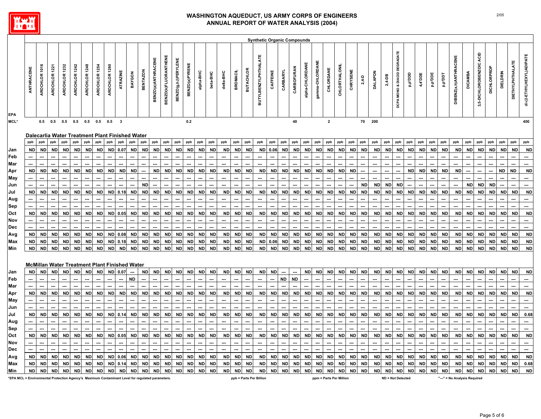

|                                                                                                  |            |               |               |                  |               |               |               |                  |                         |                                                      |                 |                    |                             |                             |                |                  |           |           |                |                          | <b>Synthetic Organic Compounds</b> |           |           |            |                 |                 |                         |               |           |           |                |           |                              |           |           |                     |           |                              |                |                             |             |                 |                         |                          |
|--------------------------------------------------------------------------------------------------|------------|---------------|---------------|------------------|---------------|---------------|---------------|------------------|-------------------------|------------------------------------------------------|-----------------|--------------------|-----------------------------|-----------------------------|----------------|------------------|-----------|-----------|----------------|--------------------------|------------------------------------|-----------|-----------|------------|-----------------|-----------------|-------------------------|---------------|-----------|-----------|----------------|-----------|------------------------------|-----------|-----------|---------------------|-----------|------------------------------|----------------|-----------------------------|-------------|-----------------|-------------------------|--------------------------|
| <b>EPA</b>                                                                                       | ANTHRACENE | AROCHLOR 1016 | AROCHLOR 1221 | 1232<br>AROCHLOR | AROCHLOR 1242 | AROCHLOR 1248 | AROCHLOR 1254 | 1260<br>AROCHLOR | ATRAZINE                | BAYGON                                               | <b>BENTAZON</b> | BENZO(a)ANTHRACENE | <b>BENZO(K)FLUORANTHENE</b> | <b>BENZO(g,h,l)PERYLENE</b> | BENZO(a)PYRENE | alpha-BHC        | beta-BHC  | delta-BHC | <b>BROMACI</b> | <b>BUTACHLOR</b>         | <b>BUTYLBENZYLPHTHALATE</b>        | CAFFEINE  | CARBARYL  | CARBOFURAN | alpha-CHLORDANE | gamma-CHLORDANE | CHLORDANE               | CHLORTHALONIL | CHRYSENE  | $2,4-D$   | <b>DALAPON</b> | 2,4-DB    | DCPA MONO & DIACID DEGRADATE | aaa,d'd   | 4,4'DDE   | ada.d <sup>id</sup> | Iaa.d'd   | DIBENZ(a,h)ANTHRACENE        | <b>DICAMBA</b> | ACID<br>3,5-DICHLOROBENZOIC | DICHLORPROP | <b>DIELDRIN</b> | <b>DIETHYLPHTHALATE</b> | di-(2-ETHYLHEXYL)ADIPATE |
| MCL*                                                                                             |            | 0.5           | 0.5           | 0.5              | 0.5           | 0.5           | 0.5           | 0.5              | $\overline{\mathbf{3}}$ |                                                      |                 |                    |                             |                             | $0.2\,$        |                  |           |           |                |                          |                                    |           |           | 40         |                 |                 | $\overline{\mathbf{2}}$ |               |           | 70        | 200            |           |                              |           |           |                     |           |                              |                |                             |             |                 |                         | 400                      |
|                                                                                                  |            |               |               |                  |               |               |               |                  |                         | Dalecarlia Water Treatment Plant Finished Water      |                 |                    |                             |                             |                |                  |           |           |                |                          |                                    |           |           |            |                 |                 |                         |               |           |           |                |           |                              |           |           |                     |           |                              |                |                             |             |                 |                         |                          |
|                                                                                                  | ppb        | ppb           | ppb           | ppb              | ppb           | ppb           | ppb           | ppb              | ppb                     | ppb                                                  | ppb             | ppb                | ppb                         | ppb                         | ppb            | ppb              | ppb       | ppb       | ppb            | ppb                      | ppb                                | ppb       | ppb       | ppb        | ppb             | ppb             | ppb                     | ppb           | ppb       | ppb       | ppb            | ppb       | ppb                          | ppb       | ppb       | ppb                 | ppb       | ppb                          | ppb            | ppb                         | ppb         | ppb             | ppb                     | ppb                      |
| Jan                                                                                              | <b>ND</b>  | <b>ND</b>     | <b>ND</b>     | ND               | <b>ND</b>     | <b>ND</b>     | <b>ND</b>     | <b>ND</b>        | 0.07                    | <b>ND</b>                                            | <b>ND</b>       | <b>ND</b>          | <b>ND</b>                   | <b>ND</b>                   | <b>ND</b>      | <b>ND</b>        | <b>ND</b> | <b>ND</b> | <b>ND</b>      | <b>ND</b>                |                                    | ND 0.06   | <b>ND</b> | <b>ND</b>  | <b>ND</b>       | <b>ND</b>       | <b>ND</b>               | ND            | ND        | <b>ND</b> | <b>ND</b>      | <b>ND</b> | <b>ND</b>                    | <b>ND</b> | ND        | <b>ND</b>           | ND        | <b>ND</b>                    | <b>ND</b>      | <b>ND</b>                   | <b>ND</b>   | <b>ND</b>       | <b>ND</b>               | <b>ND</b>                |
| Feb                                                                                              |            |               |               |                  |               |               |               |                  |                         |                                                      |                 |                    |                             |                             |                |                  |           |           |                |                          |                                    |           |           |            |                 |                 |                         |               |           |           |                |           |                              |           |           |                     |           |                              |                |                             |             |                 |                         |                          |
| Mar                                                                                              |            |               |               |                  |               |               |               |                  |                         |                                                      |                 |                    |                             |                             |                |                  |           |           |                |                          |                                    |           |           |            |                 |                 |                         |               |           |           |                |           |                              |           |           |                     |           |                              |                |                             |             |                 |                         |                          |
| Apr                                                                                              | <b>ND</b>  | <b>ND</b>     | <b>ND</b>     | <b>ND</b>        | <b>ND</b>     | <b>ND</b>     | <b>ND</b>     | <b>ND</b>        | <b>ND</b>               | <b>ND</b>                                            |                 | <b>ND</b>          | <b>ND</b>                   | <b>ND</b>                   | <b>ND</b>      | <b>ND</b>        | <b>ND</b> | <b>ND</b> | <b>ND</b>      | <b>ND</b>                | <b>ND</b>                          | <b>ND</b> | <b>ND</b> | <b>ND</b>  | <b>ND</b>       | <b>ND</b>       | <b>ND</b>               | <b>ND</b>     | <b>ND</b> | ---       |                |           |                              | <b>ND</b> | <b>ND</b> | <b>ND</b>           | <b>ND</b> | <b>ND</b>                    |                |                             | ---         | <b>ND</b>       | <b>ND</b>               | <b>ND</b>                |
| May                                                                                              |            |               |               |                  |               |               |               |                  |                         |                                                      |                 |                    |                             |                             |                |                  |           |           |                |                          |                                    |           |           |            |                 |                 |                         |               |           |           |                |           |                              |           |           |                     |           |                              |                |                             |             |                 |                         |                          |
| Jun                                                                                              |            |               |               |                  |               |               |               |                  |                         |                                                      | <b>ND</b>       |                    |                             |                             |                |                  |           |           |                |                          |                                    |           |           |            |                 |                 |                         |               |           | <b>ND</b> | <b>ND</b>      | <b>ND</b> | <b>ND</b>                    |           |           |                     |           |                              | <b>ND</b>      | <b>ND</b>                   | <b>ND</b>   |                 |                         |                          |
| Jul                                                                                              | <b>ND</b>  | <b>ND</b>     | <b>ND</b>     | ND               | <b>ND</b>     | <b>ND</b>     | <b>ND</b>     | <b>ND</b>        | 0.18                    | <b>ND</b>                                            | <b>ND</b>       | <b>ND</b>          | <b>ND</b>                   | <b>ND</b>                   | <b>ND</b>      | <b>ND</b>        | <b>ND</b> | <b>ND</b> | <b>ND</b>      | <b>ND</b>                | <b>ND</b>                          | <b>ND</b> | <b>ND</b> | <b>ND</b>  | <b>ND</b>       | <b>ND</b>       | <b>ND</b>               | ND            | <b>ND</b> | <b>ND</b> | <b>ND</b>      | <b>ND</b> | <b>ND</b>                    | <b>ND</b> | <b>ND</b> | <b>ND</b>           | <b>ND</b> | <b>ND</b>                    | <b>ND</b>      | <b>ND</b>                   | <b>ND</b>   | <b>ND</b>       | <b>ND</b>               | <b>ND</b>                |
|                                                                                                  |            |               |               |                  |               |               |               |                  |                         |                                                      |                 |                    |                             |                             |                |                  |           |           |                |                          |                                    |           |           |            |                 |                 |                         |               |           |           |                |           |                              |           |           |                     |           |                              |                |                             |             |                 |                         |                          |
| Aug<br>Sep                                                                                       |            |               |               |                  |               |               |               |                  |                         |                                                      |                 |                    |                             |                             |                |                  |           |           |                |                          |                                    |           |           |            |                 |                 |                         |               |           |           |                |           |                              |           |           |                     |           |                              |                |                             |             |                 |                         |                          |
|                                                                                                  |            |               |               |                  |               |               |               |                  |                         |                                                      |                 |                    |                             | <b>ND</b>                   |                |                  |           |           |                | <b>ND</b>                |                                    |           | <b>ND</b> | <b>ND</b>  |                 |                 | <b>ND</b>               |               |           |           |                | <b>ND</b> |                              | <b>ND</b> | <b>ND</b> |                     |           |                              |                | <b>ND</b>                   |             |                 | <b>ND</b>               |                          |
| Oct                                                                                              | <b>ND</b>  | <b>ND</b>     | <b>ND</b>     | <b>ND</b>        | <b>ND</b>     | <b>ND</b>     | <b>ND</b>     | <b>ND</b>        | 0.05                    | <b>ND</b>                                            | <b>ND</b>       | <b>ND</b>          | <b>ND</b>                   |                             | <b>ND</b>      | <b>ND</b><br>--- | <b>ND</b> | <b>ND</b> | <b>ND</b>      |                          | <b>ND</b>                          | <b>ND</b> |           |            | <b>ND</b>       |                 |                         | <b>ND</b>     | <b>ND</b> | <b>ND</b> | <b>ND</b>      |           | <b>ND</b>                    |           |           | <b>ND</b>           | <b>ND</b> | <b>ND</b>                    | <b>ND</b>      |                             | <b>ND</b>   | <b>ND</b>       |                         | <b>ND</b>                |
| Nov                                                                                              |            |               |               |                  |               |               |               |                  |                         |                                                      |                 |                    | ---                         |                             |                |                  | …         | ---       | ---            | ---                      | ---                                |           |           |            |                 |                 |                         |               |           | ---       |                |           |                              |           |           |                     |           |                              |                |                             |             |                 |                         | ---<br>−−                |
| Dec                                                                                              |            |               |               |                  |               |               |               |                  |                         |                                                      |                 |                    |                             | <b>ND</b>                   | <b>ND</b>      |                  |           |           |                |                          |                                    |           |           |            |                 |                 |                         |               |           |           |                |           |                              |           |           |                     |           |                              |                | <b>ND</b>                   |             |                 |                         |                          |
| Avg                                                                                              | <b>ND</b>  | <b>ND</b>     | <b>ND</b>     | <b>ND</b>        | <b>ND</b>     | <b>ND</b>     | <b>ND</b>     | <b>ND</b>        | 0.08                    | <b>ND</b>                                            | <b>ND</b>       | <b>ND</b>          | <b>ND</b>                   |                             |                | <b>ND</b>        | <b>ND</b> | <b>ND</b> | <b>ND</b>      | <b>ND</b>                | <b>ND</b>                          | <b>ND</b> | <b>ND</b> | <b>ND</b>  | <b>ND</b>       | <b>ND</b>       | <b>ND</b>               | <b>ND</b>     | <b>ND</b> | <b>ND</b> | <b>ND</b>      | <b>ND</b> | <b>ND</b>                    | <b>ND</b> | <b>ND</b> | <b>ND</b>           | <b>ND</b> | <b>ND</b>                    | <b>ND</b>      |                             | $\sf ND$    | <b>ND</b>       | <b>ND</b>               | <b>ND</b>                |
| Max                                                                                              | <b>ND</b>  | <b>ND</b>     | <b>ND</b>     | ND               | <b>ND</b>     | <b>ND</b>     | <b>ND</b>     | <b>ND</b>        | 0.18                    | <b>ND</b>                                            | ND              | <b>ND</b>          | <b>ND</b>                   | <b>ND</b>                   | <b>ND</b>      | <b>ND</b>        | <b>ND</b> | <b>ND</b> | <b>ND</b>      | <b>ND</b>                |                                    | ND 0.06   | <b>ND</b> | <b>ND</b>  | <b>ND</b>       | ND              | <b>ND</b>               | <b>ND</b>     | <b>ND</b> | <b>ND</b> | <b>ND</b>      | <b>ND</b> | <b>ND</b>                    | <b>ND</b> | <b>ND</b> | <b>ND</b>           | <b>ND</b> | <b>ND</b>                    | <b>ND</b>      | <b>ND</b>                   | <b>ND</b>   | <b>ND</b>       | $\sf ND$                | <b>ND</b>                |
| Min                                                                                              | <b>ND</b>  | <b>ND</b>     | <b>ND</b>     | <b>ND</b>        | <b>ND</b>     | <b>ND</b>     | <b>ND</b>     | <b>ND</b>        | <b>ND</b>               | <b>ND</b>                                            | <b>ND</b>       | ND                 | ND                          | <b>ND</b>                   | <b>ND</b>      | <b>ND</b>        | <b>ND</b> | <b>ND</b> | <b>ND</b>      | <b>ND</b>                | <b>ND</b>                          | <b>ND</b> | <b>ND</b> | <b>ND</b>  | <b>ND</b>       | <b>ND</b>       | <b>ND</b>               | <b>ND</b>     | <b>ND</b> | <b>ND</b> | <b>ND</b>      | <b>ND</b> | <b>ND</b>                    | <b>ND</b> | <b>ND</b> | <b>ND</b>           | <b>ND</b> | <b>ND</b>                    | ND             | <b>ND</b>                   | <b>ND</b>   | <b>ND</b>       | <b>ND</b>               | <b>ND</b>                |
|                                                                                                  |            |               |               |                  |               |               |               |                  |                         | <b>McMillan Water Treatment Plant Finished Water</b> |                 |                    |                             |                             |                |                  |           |           |                |                          |                                    |           |           |            |                 |                 |                         |               |           |           |                |           |                              |           |           |                     |           |                              |                |                             |             |                 |                         |                          |
| Jan                                                                                              | <b>ND</b>  | <b>ND</b>     | <b>ND</b>     | <b>ND</b>        | <b>ND</b>     | <b>ND</b>     | <b>ND</b>     | <b>ND</b>        | 0.07                    |                                                      | <b>ND</b>       | <b>ND</b>          | <b>ND</b>                   | <b>ND</b>                   | <b>ND</b>      | <b>ND</b>        | <b>ND</b> | <b>ND</b> | <b>ND</b>      | <b>ND</b>                | <b>ND</b>                          | <b>ND</b> |           |            | <b>ND</b>       | <b>ND</b>       | <b>ND</b>               | <b>ND</b>     |           | ND ND     | <b>ND</b>      | <b>ND</b> | <b>ND</b>                    | <b>ND</b> | <b>ND</b> | <b>ND</b>           | <b>ND</b> | <b>ND</b>                    | <b>ND</b>      | <b>ND</b>                   | <b>ND</b>   | <b>ND</b>       | <b>ND</b>               | <b>ND</b>                |
| Feb                                                                                              |            |               |               |                  |               |               |               |                  |                         | <b>ND</b>                                            |                 |                    |                             |                             |                |                  |           |           |                |                          |                                    |           | <b>ND</b> | <b>ND</b>  |                 |                 |                         |               |           |           |                |           |                              |           |           |                     |           |                              |                |                             |             |                 |                         | ┄                        |
| Mar                                                                                              |            |               |               |                  |               |               |               |                  |                         |                                                      |                 |                    |                             |                             |                |                  |           |           | Ξ.             |                          |                                    |           |           |            |                 |                 |                         |               |           |           |                |           |                              |           |           |                     |           |                              |                |                             |             |                 |                         | −−                       |
| Apr                                                                                              | ND         | <b>ND</b>     | <b>ND</b>     | <b>ND</b>        | <b>ND</b>     | <b>ND</b>     | <b>ND</b>     | <b>ND</b>        | <b>ND</b>               | <b>ND</b>                                            | <b>ND</b>       | <b>ND</b>          | <b>ND</b>                   | <b>ND</b>                   | <b>ND</b>      | <b>ND</b>        | <b>ND</b> | <b>ND</b> | <b>ND</b>      | <b>ND</b>                | <b>ND</b>                          | <b>ND</b> | <b>ND</b> | <b>ND</b>  | <b>ND</b>       | <b>ND</b>       | <b>ND</b>               | ND            | <b>ND</b> | <b>ND</b> | <b>ND</b>      | <b>ND</b> | <b>ND</b>                    | <b>ND</b> | <b>ND</b> | <b>ND</b>           | <b>ND</b> | <b>ND</b>                    | <b>ND</b>      | <b>ND</b>                   | <b>ND</b>   | <b>ND</b>       | <b>ND</b>               | <b>ND</b>                |
| May                                                                                              |            |               |               |                  |               |               |               |                  |                         |                                                      |                 |                    |                             |                             |                |                  |           |           |                |                          |                                    |           |           |            |                 |                 |                         |               |           |           |                |           |                              |           |           |                     |           |                              |                |                             |             |                 |                         |                          |
| Jun                                                                                              |            |               |               |                  |               |               |               |                  |                         |                                                      |                 |                    |                             |                             |                |                  |           |           |                |                          |                                    |           |           |            |                 |                 |                         |               |           |           |                |           |                              |           |           |                     |           |                              |                |                             |             |                 |                         |                          |
| Jul                                                                                              | <b>ND</b>  | <b>ND</b>     | <b>ND</b>     | <b>ND</b>        | <b>ND</b>     | <b>ND</b>     | <b>ND</b>     | <b>ND</b>        | 0.14                    | <b>ND</b>                                            | <b>ND</b>       | <b>ND</b>          | <b>ND</b>                   | <b>ND</b>                   | <b>ND</b>      | <b>ND</b>        | <b>ND</b> | <b>ND</b> | <b>ND</b>      | <b>ND</b>                | <b>ND</b>                          | <b>ND</b> | <b>ND</b> | <b>ND</b>  | <b>ND</b>       | <b>ND</b>       | <b>ND</b>               | ND            | <b>ND</b> | <b>ND</b> | <b>ND</b>      | <b>ND</b> | <b>ND</b>                    | <b>ND</b> | <b>ND</b> | <b>ND</b>           | <b>ND</b> | <b>ND</b>                    | <b>ND</b>      | <b>ND</b>                   | <b>ND</b>   | <b>ND</b>       | <b>ND</b>               | 0.68                     |
|                                                                                                  |            |               |               |                  |               |               |               |                  |                         |                                                      |                 |                    |                             |                             |                |                  |           |           |                |                          |                                    |           |           |            |                 |                 |                         |               |           |           |                |           |                              |           |           |                     |           |                              |                |                             |             |                 |                         |                          |
| Aug                                                                                              |            |               |               |                  |               |               |               |                  |                         |                                                      |                 |                    |                             |                             |                |                  |           |           |                |                          |                                    |           |           |            |                 |                 |                         |               |           |           |                |           |                              |           |           |                     |           |                              |                |                             |             |                 |                         |                          |
| Sep                                                                                              |            |               |               |                  |               |               |               |                  |                         |                                                      |                 |                    |                             |                             |                |                  |           |           |                |                          |                                    |           |           |            |                 |                 |                         |               |           |           |                |           |                              |           |           |                     |           |                              |                |                             |             |                 |                         |                          |
| Oct                                                                                              | <b>ND</b>  | <b>ND</b>     | <b>ND</b>     | <b>ND</b>        | <b>ND</b>     | <b>ND</b>     | <b>ND</b>     | <b>ND</b>        | 0.05                    | <b>ND</b>                                            | <b>ND</b>       | <b>ND</b>          | <b>ND</b>                   | <b>ND</b>                   | <b>ND</b>      | <b>ND</b>        | <b>ND</b> | <b>ND</b> | <b>ND</b>      | <b>ND</b>                | <b>ND</b>                          | <b>ND</b> | <b>ND</b> | <b>ND</b>  | <b>ND</b>       | <b>ND</b>       | <b>ND</b>               | <b>ND</b>     | <b>ND</b> | <b>ND</b> | <b>ND</b>      | <b>ND</b> | <b>ND</b>                    | <b>ND</b> | <b>ND</b> | <b>ND</b>           | <b>ND</b> | <b>ND</b>                    | <b>ND</b>      | <b>ND</b>                   | <b>ND</b>   | <b>ND</b>       | <b>ND</b>               | <b>ND</b>                |
| Nov                                                                                              |            |               |               |                  |               |               |               |                  |                         |                                                      |                 |                    |                             |                             |                |                  |           |           |                |                          |                                    |           |           |            |                 |                 |                         |               |           |           |                |           |                              |           |           |                     |           |                              |                |                             |             |                 |                         |                          |
| Dec                                                                                              |            |               |               |                  |               |               |               |                  |                         |                                                      |                 |                    |                             |                             |                | ---              | ---       | ---       |                | $\overline{\phantom{a}}$ |                                    |           |           |            |                 |                 |                         |               |           |           |                |           |                              |           |           |                     |           |                              |                |                             |             |                 |                         | $\overline{\phantom{a}}$ |
| Avg                                                                                              | <b>ND</b>  | <b>ND</b>     | <b>ND</b>     | <b>ND</b>        | <b>ND</b>     | <b>ND</b>     | <b>ND</b>     |                  | ND 0.06                 | <b>ND</b>                                            | <b>ND</b>       | <b>ND</b>          | <b>ND</b>                   | <b>ND</b>                   | <b>ND</b>      | <b>ND</b>        | <b>ND</b> | <b>ND</b> | <b>ND</b>      | <b>ND</b>                | <b>ND</b>                          | <b>ND</b> | <b>ND</b> | <b>ND</b>  | <b>ND</b>       | <b>ND</b>       | <b>ND</b>               | <b>ND</b>     |           | ND ND     | <b>ND</b>      | <b>ND</b> | <b>ND</b>                    | <b>ND</b> | <b>ND</b> | <b>ND</b>           | <b>ND</b> | <b>ND</b>                    | <b>ND</b>      | <b>ND</b>                   | <b>ND</b>   | <b>ND</b>       | <b>ND</b>               | <b>ND</b>                |
| Max                                                                                              | <b>ND</b>  | <b>ND</b>     | <b>ND</b>     | <b>ND</b>        | <b>ND</b>     | <b>ND</b>     | <b>ND</b>     | <b>ND</b>        | 0.14                    | <b>ND</b>                                            | <b>ND</b>       | ND                 | <b>ND</b>                   | <b>ND</b>                   | <b>ND</b>      | <b>ND</b>        | <b>ND</b> | <b>ND</b> | <b>ND</b>      | <b>ND</b>                | <b>ND</b>                          | <b>ND</b> | <b>ND</b> | <b>ND</b>  | <b>ND</b>       | <b>ND</b>       | <b>ND</b>               | <b>ND</b>     | <b>ND</b> | <b>ND</b> | <b>ND</b>      | <b>ND</b> | <b>ND</b>                    | <b>ND</b> | <b>ND</b> | <b>ND</b>           | <b>ND</b> | <b>ND</b>                    | <b>ND</b>      | <b>ND</b>                   | <b>ND</b>   | <b>ND</b>       | <b>ND</b>               | 0.68                     |
| Min                                                                                              | <b>ND</b>  | <b>ND</b>     | <b>ND</b>     | <b>ND</b>        | <b>ND</b>     | <b>ND</b>     | <b>ND</b>     | <b>ND</b>        | <b>ND</b>               | <b>ND</b>                                            | <b>ND</b>       | <b>ND</b>          | ND                          | <b>ND</b>                   | <b>ND</b>      | <b>ND</b>        | <b>ND</b> | <b>ND</b> | <b>ND</b>      | <b>ND</b>                | <b>ND</b>                          | <b>ND</b> | <b>ND</b> | <b>ND</b>  | <b>ND</b>       | <b>ND</b>       | <b>ND</b>               | <b>ND</b>     | <b>ND</b> | <b>ND</b> | <b>ND</b>      | <b>ND</b> | <b>ND</b>                    | <b>ND</b> | <b>ND</b> | <b>ND</b>           | <b>ND</b> | <b>ND</b>                    | <b>ND</b>      | <b>ND</b>                   | <b>ND</b>   | <b>ND</b>       | <b>ND</b>               | <b>ND</b>                |
| *EPA MCL = Environmental Protection Agency's Maximum Contaminant Level for regulated parameters. |            |               |               |                  |               |               |               |                  |                         |                                                      |                 |                    |                             |                             |                |                  |           |           |                |                          | ppb = Parts Per Billion            |           |           |            |                 |                 | ppm = Parts Per Million |               |           |           |                |           | <b>ND = Not Detected</b>     |           |           |                     |           | "---" = No Analysis Required |                |                             |             |                 |                         |                          |